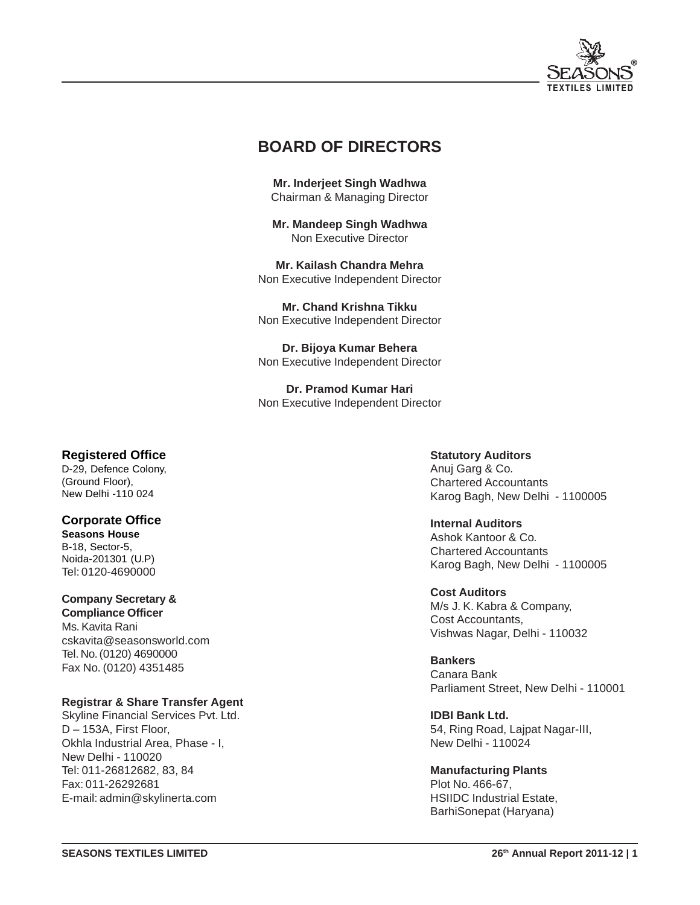

# **BOARD OF DIRECTORS**

**Mr. Inderjeet Singh Wadhwa** Chairman & Managing Director

**Mr. Mandeep Singh Wadhwa** Non Executive Director

**Mr. Kailash Chandra Mehra** Non Executive Independent Director

**Mr. Chand Krishna Tikku** Non Executive Independent Director

**Dr. Bijoya Kumar Behera** Non Executive Independent Director

**Dr. Pramod Kumar Hari** Non Executive Independent Director

# **Registered Office**

D-29, Defence Colony, (Ground Floor), New Delhi -110 024

### **Corporate Office**

**Seasons House** B-18, Sector-5, Noida-201301 (U.P) Tel: 0120-4690000

# **Company Secretary &**

**Compliance Officer** Ms. Kavita Rani cskavita@seasonsworld.com Tel. No. (0120) 4690000 Fax No. (0120) 4351485

### **Registrar & Share Transfer Agent**

Skyline Financial Services Pvt. Ltd. D – 153A, First Floor, Okhla Industrial Area, Phase - I, New Delhi - 110020 Tel: 011-26812682, 83, 84 Fax: 011-26292681 E-mail: admin@skylinerta.com

# **Statutory Auditors**

Anuj Garg & Co. Chartered Accountants Karog Bagh, New Delhi - 1100005

### **Internal Auditors**

Ashok Kantoor & Co. Chartered Accountants Karog Bagh, New Delhi - 1100005

### **Cost Auditors**

M/s J. K. Kabra & Company, Cost Accountants, Vishwas Nagar, Delhi - 110032

**Bankers** Canara Bank Parliament Street, New Delhi - 110001

**IDBI Bank Ltd.** 54, Ring Road, Lajpat Nagar-III, New Delhi - 110024

**Manufacturing Plants** Plot No. 466-67, HSIIDC Industrial Estate, BarhiSonepat (Haryana)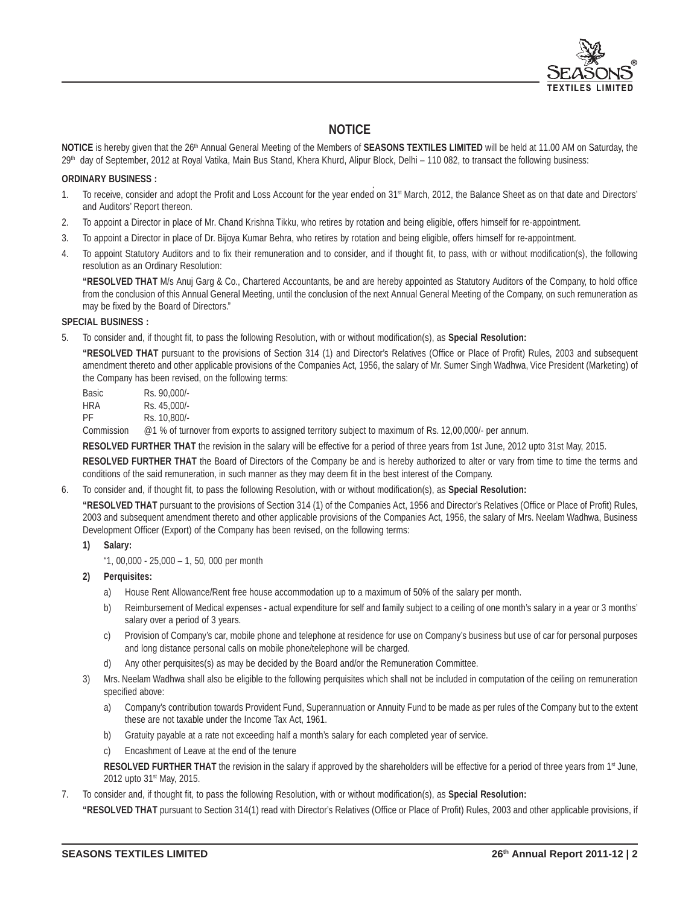

# **NOTICE**

**NOTICE** is hereby given that the 26<sup>th</sup> Annual General Meeting of the Members of **SEASONS TEXTILES LIMITED** will be held at 11.00 AM on Saturday, the 29<sup>th</sup> day of September, 2012 at Royal Vatika, Main Bus Stand, Khera Khurd, Alipur Block, Delhi – 110 082, to transact the following business:

#### **ORDINARY BUSINESS :**

- 1. To receive, consider and adopt the Profit and Loss Account for the year ended on 31<sup>st</sup> March, 2012, the Balance Sheet as on that date and Directors' and Auditors' Report thereon.
- 2. To appoint a Director in place of Mr. Chand Krishna Tikku, who retires by rotation and being eligible, offers himself for re-appointment.
- 3. To appoint a Director in place of Dr. Bijoya Kumar Behra, who retires by rotation and being eligible, offers himself for re-appointment.
- 4. To appoint Statutory Auditors and to fix their remuneration and to consider, and if thought fit, to pass, with or without modification(s), the following resolution as an Ordinary Resolution:

**"RESOLVED THAT** M/s Anuj Garg & Co., Chartered Accountants, be and are hereby appointed as Statutory Auditors of the Company, to hold office from the conclusion of this Annual General Meeting, until the conclusion of the next Annual General Meeting of the Company, on such remuneration as may be fixed by the Board of Directors."

#### **SPECIAL BUSINESS :**

5. To consider and, if thought fit, to pass the following Resolution, with or without modification(s), as **Special Resolution:**

**"RESOLVED THAT** pursuant to the provisions of Section 314 (1) and Director's Relatives (Office or Place of Profit) Rules, 2003 and subsequent amendment thereto and other applicable provisions of the Companies Act, 1956, the salary of Mr. Sumer Singh Wadhwa, Vice President (Marketing) of the Company has been revised, on the following terms:

| Basic | Rs. 90.000/- |
|-------|--------------|
| HRA   | Rs. 45.000/- |
| РF    | Rs. 10.800/- |
|       |              |

Commission @1 % of turnover from exports to assigned territory subject to maximum of Rs. 12,00,000/- per annum.

**RESOLVED FURTHER THAT** the revision in the salary will be effective for a period of three years from 1st June, 2012 upto 31st May, 2015.

**RESOLVED FURTHER THAT** the Board of Directors of the Company be and is hereby authorized to alter or vary from time to time the terms and conditions of the said remuneration, in such manner as they may deem fit in the best interest of the Company.

6. To consider and, if thought fit, to pass the following Resolution, with or without modification(s), as **Special Resolution:**

**"RESOLVED THAT** pursuant to the provisions of Section 314 (1) of the Companies Act, 1956 and Director's Relatives (Office or Place of Profit) Rules, 2003 and subsequent amendment thereto and other applicable provisions of the Companies Act, 1956, the salary of Mrs. Neelam Wadhwa, Business Development Officer (Export) of the Company has been revised, on the following terms:

**1) Salary:**

 $41, 00,000 - 25,000 - 1, 50, 000$  per month

- **2) Perquisites:**
	- a) House Rent Allowance/Rent free house accommodation up to a maximum of 50% of the salary per month.
	- b) Reimbursement of Medical expenses actual expenditure for self and family subject to a ceiling of one month's salary in a year or 3 months' salary over a period of 3 years.
	- c) Provision of Company's car, mobile phone and telephone at residence for use on Company's business but use of car for personal purposes and long distance personal calls on mobile phone/telephone will be charged.
	- d) Any other perquisites(s) as may be decided by the Board and/or the Remuneration Committee.
- 3) Mrs. Neelam Wadhwa shall also be eligible to the following perquisites which shall not be included in computation of the ceiling on remuneration specified above:
	- a) Company's contribution towards Provident Fund, Superannuation or Annuity Fund to be made as per rules of the Company but to the extent these are not taxable under the Income Tax Act, 1961.
	- b) Gratuity payable at a rate not exceeding half a month's salary for each completed year of service.
	- c) Encashment of Leave at the end of the tenure

**RESOLVED FURTHER THAT** the revision in the salary if approved by the shareholders will be effective for a period of three years from 1<sup>st</sup> June, 2012 upto 31<sup>st</sup> May, 2015.

7. To consider and, if thought fit, to pass the following Resolution, with or without modification(s), as **Special Resolution:**

**"RESOLVED THAT** pursuant to Section 314(1) read with Director's Relatives (Office or Place of Profit) Rules, 2003 and other applicable provisions, if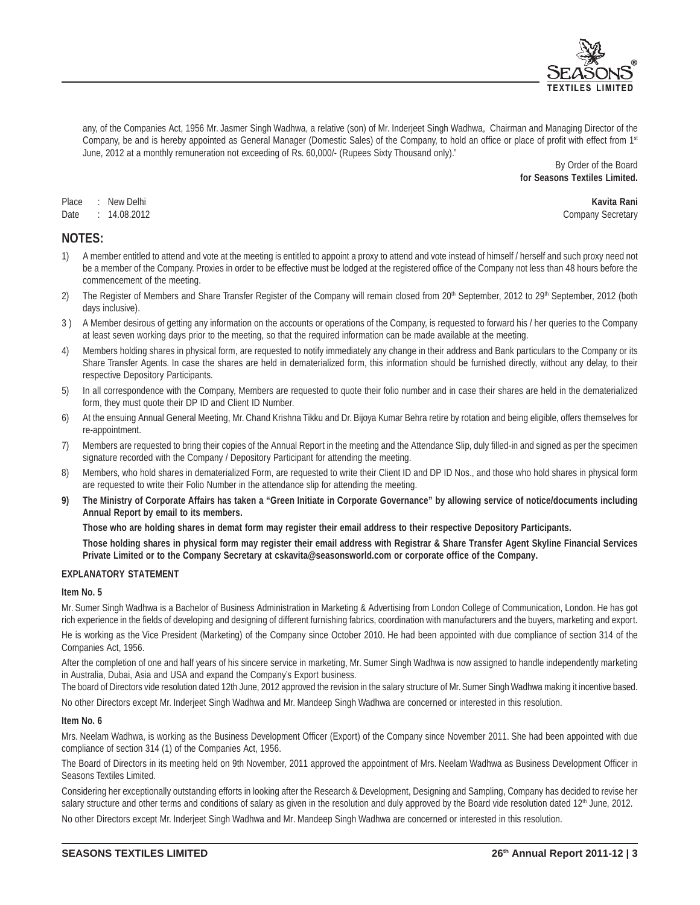

any, of the Companies Act, 1956 Mr. Jasmer Singh Wadhwa, a relative (son) of Mr. Inderjeet Singh Wadhwa, Chairman and Managing Director of the Company, be and is hereby appointed as General Manager (Domestic Sales) of the Company, to hold an office or place of profit with effect from 1<sup>st</sup> June, 2012 at a monthly remuneration not exceeding of Rs. 60,000/- (Rupees Sixty Thousand only)."

> By Order of the Board **for Seasons Textiles Limited.**

Place : New Delhi **Kavita Rani** Date : 14.08.2012 Company Secretary

# **NOTES:**

- 1) A member entitled to attend and vote at the meeting is entitled to appoint a proxy to attend and vote instead of himself / herself and such proxy need not be a member of the Company. Proxies in order to be effective must be lodged at the registered office of the Company not less than 48 hours before the commencement of the meeting.
- 2) The Register of Members and Share Transfer Register of the Company will remain closed from 20<sup>th</sup> September, 2012 to 29<sup>th</sup> September, 2012 (both days inclusive).
- 3 ) A Member desirous of getting any information on the accounts or operations of the Company, is requested to forward his / her queries to the Company at least seven working days prior to the meeting, so that the required information can be made available at the meeting.
- 4) Members holding shares in physical form, are requested to notify immediately any change in their address and Bank particulars to the Company or its Share Transfer Agents. In case the shares are held in dematerialized form, this information should be furnished directly, without any delay, to their respective Depository Participants.
- 5) In all correspondence with the Company, Members are requested to quote their folio number and in case their shares are held in the dematerialized form, they must quote their DP ID and Client ID Number.
- 6) At the ensuing Annual General Meeting, Mr. Chand Krishna Tikku and Dr. Bijoya Kumar Behra retire by rotation and being eligible, offers themselves for re-appointment.
- 7) Members are requested to bring their copies of the Annual Report in the meeting and the Attendance Slip, duly filled-in and signed as per the specimen signature recorded with the Company / Depository Participant for attending the meeting.
- 8) Members, who hold shares in dematerialized Form, are requested to write their Client ID and DP ID Nos., and those who hold shares in physical form are requested to write their Folio Number in the attendance slip for attending the meeting.
- **9) The Ministry of Corporate Affairs has taken a "Green Initiate in Corporate Governance" by allowing service of notice/documents including Annual Report by email to its members.**

**Those who are holding shares in demat form may register their email address to their respective Depository Participants.**

**Those holding shares in physical form may register their email address with Registrar & Share Transfer Agent Skyline Financial Services Private Limited or to the Company Secretary at cskavita@seasonsworld.com or corporate office of the Company.**

#### **EXPLANATORY STATEMENT**

#### **Item No. 5**

Mr. Sumer Singh Wadhwa is a Bachelor of Business Administration in Marketing & Advertising from London College of Communication, London. He has got rich experience in the fields of developing and designing of different furnishing fabrics, coordination with manufacturers and the buyers, marketing and export.

He is working as the Vice President (Marketing) of the Company since October 2010. He had been appointed with due compliance of section 314 of the Companies Act, 1956.

After the completion of one and half years of his sincere service in marketing, Mr. Sumer Singh Wadhwa is now assigned to handle independently marketing in Australia, Dubai, Asia and USA and expand the Company's Export business.

The board of Directors vide resolution dated 12th June, 2012 approved the revision in the salary structure of Mr. Sumer Singh Wadhwa making it incentive based. No other Directors except Mr. Inderjeet Singh Wadhwa and Mr. Mandeep Singh Wadhwa are concerned or interested in this resolution.

#### **Item No. 6**

Mrs. Neelam Wadhwa, is working as the Business Development Officer (Export) of the Company since November 2011. She had been appointed with due compliance of section 314 (1) of the Companies Act, 1956.

The Board of Directors in its meeting held on 9th November, 2011 approved the appointment of Mrs. Neelam Wadhwa as Business Development Officer in Seasons Textiles Limited.

Considering her exceptionally outstanding efforts in looking after the Research & Development, Designing and Sampling, Company has decided to revise her salary structure and other terms and conditions of salary as given in the resolution and duly approved by the Board vide resolution dated 12<sup>th</sup> June, 2012.

No other Directors except Mr. Inderjeet Singh Wadhwa and Mr. Mandeep Singh Wadhwa are concerned or interested in this resolution.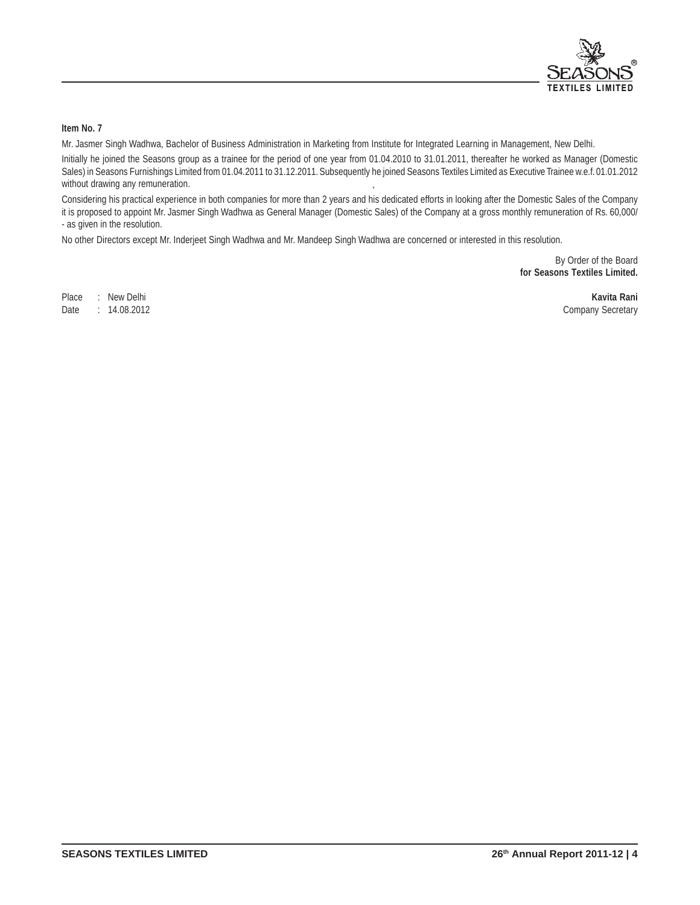

### **Item No. 7**

Mr. Jasmer Singh Wadhwa, Bachelor of Business Administration in Marketing from Institute for Integrated Learning in Management, New Delhi.

Initially he joined the Seasons group as a trainee for the period of one year from 01.04.2010 to 31.01.2011, thereafter he worked as Manager (Domestic Sales) in Seasons Furnishings Limited from 01.04.2011 to 31.12.2011. Subsequently he joined Seasons Textiles Limited as Executive Trainee w.e.f. 01.01.2012 without drawing any remuneration.

Considering his practical experience in both companies for more than 2 years and his dedicated efforts in looking after the Domestic Sales of the Company it is proposed to appoint Mr. Jasmer Singh Wadhwa as General Manager (Domestic Sales) of the Company at a gross monthly remuneration of Rs. 60,000/ - as given in the resolution.

No other Directors except Mr. Inderjeet Singh Wadhwa and Mr. Mandeep Singh Wadhwa are concerned or interested in this resolution.

By Order of the Board **for Seasons Textiles Limited.**

Place : New Delhi **Kavita Rani**

Date : 14.08.2012 Company Secretary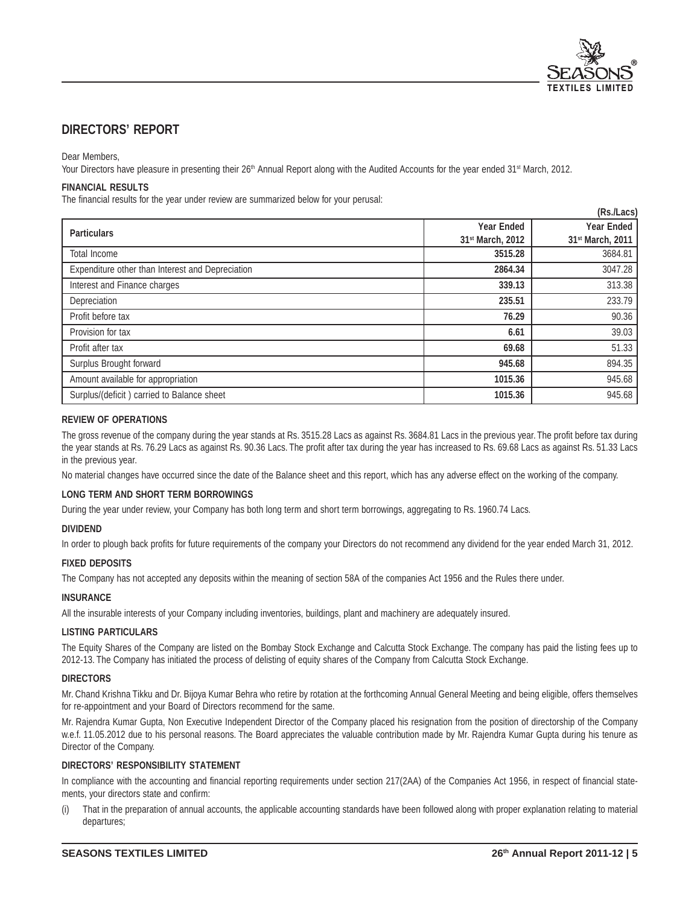

# **DIRECTORS' REPORT**

#### Dear Members,

Your Directors have pleasure in presenting their 26<sup>th</sup> Annual Report along with the Audited Accounts for the year ended 31<sup>st</sup> March, 2012.

#### **FINANCIAL RESULTS**

The financial results for the year under review are summarized below for your perusal:

| (Rs./Lacs)                                       |                              |                  |  |  |
|--------------------------------------------------|------------------------------|------------------|--|--|
| <b>Particulars</b>                               | <b>Year Ended</b>            | Year Ended       |  |  |
|                                                  | 31 <sup>st</sup> March, 2012 | 31st March, 2011 |  |  |
| Total Income                                     | 3515.28                      | 3684.81          |  |  |
| Expenditure other than Interest and Depreciation | 2864.34                      | 3047.28          |  |  |
| Interest and Finance charges                     | 339.13                       | 313.38           |  |  |
| Depreciation                                     | 235.51                       | 233.79           |  |  |
| Profit before tax                                | 76.29                        | 90.36            |  |  |
| Provision for tax                                | 6.61                         | 39.03            |  |  |
| Profit after tax                                 | 69.68                        | 51.33            |  |  |
| Surplus Brought forward                          | 945.68                       | 894.35           |  |  |
| Amount available for appropriation               | 1015.36                      | 945.68           |  |  |
| Surplus/(deficit) carried to Balance sheet       | 1015.36                      | 945.68           |  |  |

#### **REVIEW OF OPERATIONS**

The gross revenue of the company during the year stands at Rs. 3515.28 Lacs as against Rs. 3684.81 Lacs in the previous year. The profit before tax during the year stands at Rs. 76.29 Lacs as against Rs. 90.36 Lacs. The profit after tax during the year has increased to Rs. 69.68 Lacs as against Rs. 51.33 Lacs in the previous year.

No material changes have occurred since the date of the Balance sheet and this report, which has any adverse effect on the working of the company.

#### **LONG TERM AND SHORT TERM BORROWINGS**

During the year under review, your Company has both long term and short term borrowings, aggregating to Rs. 1960.74 Lacs.

#### **DIVIDEND**

In order to plough back profits for future requirements of the company your Directors do not recommend any dividend for the year ended March 31, 2012.

#### **FIXED DEPOSITS**

The Company has not accepted any deposits within the meaning of section 58A of the companies Act 1956 and the Rules there under.

#### **INSURANCE**

All the insurable interests of your Company including inventories, buildings, plant and machinery are adequately insured.

#### **LISTING PARTICULARS**

The Equity Shares of the Company are listed on the Bombay Stock Exchange and Calcutta Stock Exchange. The company has paid the listing fees up to 2012-13. The Company has initiated the process of delisting of equity shares of the Company from Calcutta Stock Exchange.

#### **DIRECTORS**

Mr. Chand Krishna Tikku and Dr. Bijoya Kumar Behra who retire by rotation at the forthcoming Annual General Meeting and being eligible, offers themselves for re-appointment and your Board of Directors recommend for the same.

Mr. Rajendra Kumar Gupta, Non Executive Independent Director of the Company placed his resignation from the position of directorship of the Company w.e.f. 11.05.2012 due to his personal reasons. The Board appreciates the valuable contribution made by Mr. Rajendra Kumar Gupta during his tenure as Director of the Company.

#### **DIRECTORS' RESPONSIBILITY STATEMENT**

In compliance with the accounting and financial reporting requirements under section 217(2AA) of the Companies Act 1956, in respect of financial statements, your directors state and confirm:

(i) That in the preparation of annual accounts, the applicable accounting standards have been followed along with proper explanation relating to material departures;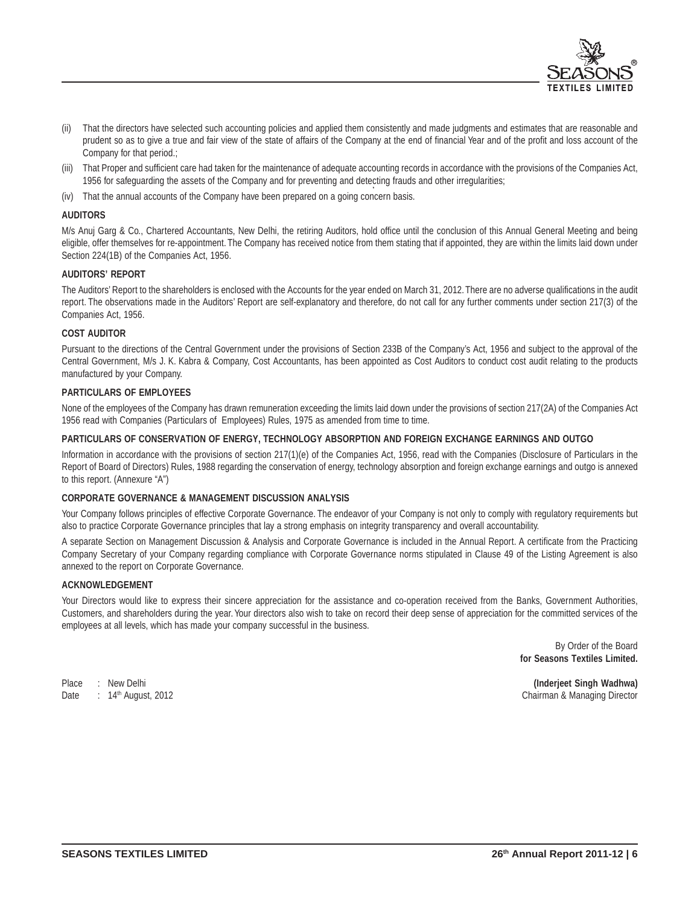

- (ii) That the directors have selected such accounting policies and applied them consistently and made judgments and estimates that are reasonable and prudent so as to give a true and fair view of the state of affairs of the Company at the end of financial Year and of the profit and loss account of the Company for that period.;
- That Proper and sufficient care had taken for the maintenance of adequate accounting records in accordance with the provisions of the Companies Act, 1956 for safeguarding the assets of the Company and for preventing and detecting frauds and other irregularities;
- (iv) That the annual accounts of the Company have been prepared on a going concern basis.

#### **AUDITORS**

M/s Anuj Garg & Co., Chartered Accountants, New Delhi, the retiring Auditors, hold office until the conclusion of this Annual General Meeting and being eligible, offer themselves for re-appointment. The Company has received notice from them stating that if appointed, they are within the limits laid down under Section 224(1B) of the Companies Act, 1956.

#### **AUDITORS' REPORT**

The Auditors' Report to the shareholders is enclosed with the Accounts for the year ended on March 31, 2012. There are no adverse qualifications in the audit report. The observations made in the Auditors' Report are self-explanatory and therefore, do not call for any further comments under section 217(3) of the Companies Act, 1956.

#### **COST AUDITOR**

Pursuant to the directions of the Central Government under the provisions of Section 233B of the Company's Act, 1956 and subject to the approval of the Central Government, M/s J. K. Kabra & Company, Cost Accountants, has been appointed as Cost Auditors to conduct cost audit relating to the products manufactured by your Company.

#### **PARTICULARS OF EMPLOYEES**

None of the employees of the Company has drawn remuneration exceeding the limits laid down under the provisions of section 217(2A) of the Companies Act 1956 read with Companies (Particulars of Employees) Rules, 1975 as amended from time to time.

#### **PARTICULARS OF CONSERVATION OF ENERGY, TECHNOLOGY ABSORPTION AND FOREIGN EXCHANGE EARNINGS AND OUTGO**

Information in accordance with the provisions of section 217(1)(e) of the Companies Act, 1956, read with the Companies (Disclosure of Particulars in the Report of Board of Directors) Rules, 1988 regarding the conservation of energy, technology absorption and foreign exchange earnings and outgo is annexed to this report. (Annexure "A")

#### **CORPORATE GOVERNANCE & MANAGEMENT DISCUSSION ANALYSIS**

Your Company follows principles of effective Corporate Governance. The endeavor of your Company is not only to comply with regulatory requirements but also to practice Corporate Governance principles that lay a strong emphasis on integrity transparency and overall accountability.

A separate Section on Management Discussion & Analysis and Corporate Governance is included in the Annual Report. A certificate from the Practicing Company Secretary of your Company regarding compliance with Corporate Governance norms stipulated in Clause 49 of the Listing Agreement is also annexed to the report on Corporate Governance.

#### **ACKNOWLEDGEMENT**

Your Directors would like to express their sincere appreciation for the assistance and co-operation received from the Banks, Government Authorities, Customers, and shareholders during the year. Your directors also wish to take on record their deep sense of appreciation for the committed services of the employees at all levels, which has made your company successful in the business.

> By Order of the Board **for Seasons Textiles Limited.**

Place : New Delhi **(Inderjeet Singh Wadhwa)** Date : 14th August, 2012 Chairman & Managing Director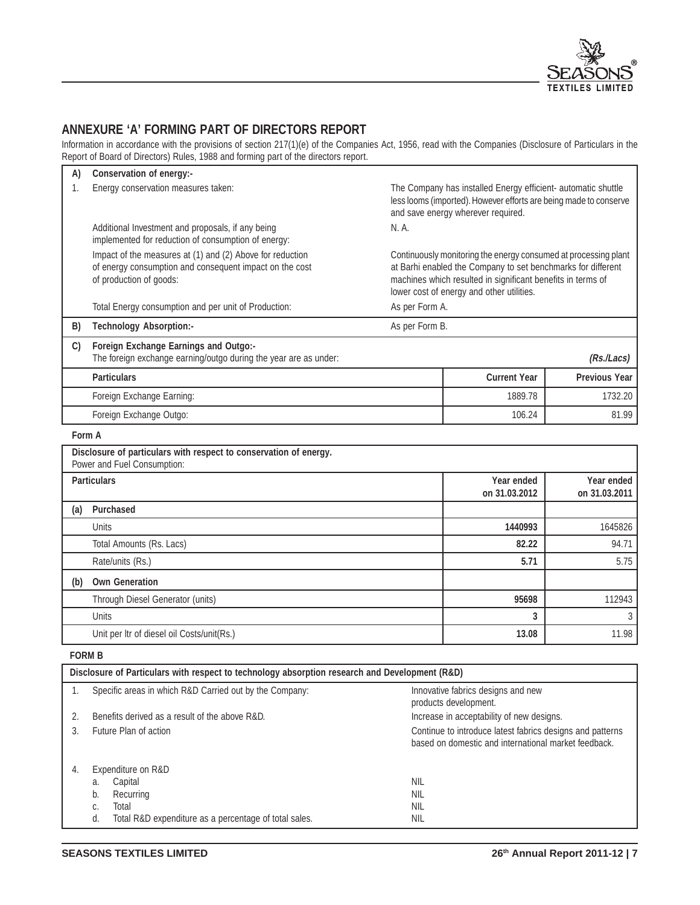

# **ANNEXURE 'A' FORMING PART OF DIRECTORS REPORT**

Information in accordance with the provisions of section 217(1)(e) of the Companies Act, 1956, read with the Companies (Disclosure of Particulars in the Report of Board of Directors) Rules, 1988 and forming part of the directors report.

| A)     | Conservation of energy:-                                                                                                                        |                                                                                                                                                                          |                                                                                                                                                                                                                                             |                             |
|--------|-------------------------------------------------------------------------------------------------------------------------------------------------|--------------------------------------------------------------------------------------------------------------------------------------------------------------------------|---------------------------------------------------------------------------------------------------------------------------------------------------------------------------------------------------------------------------------------------|-----------------------------|
| 1.     | Energy conservation measures taken:                                                                                                             | The Company has installed Energy efficient- automatic shuttle<br>less looms (imported). However efforts are being made to conserve<br>and save energy wherever required. |                                                                                                                                                                                                                                             |                             |
|        | Additional Investment and proposals, if any being<br>implemented for reduction of consumption of energy:                                        | N. A.                                                                                                                                                                    |                                                                                                                                                                                                                                             |                             |
|        | Impact of the measures at (1) and (2) Above for reduction<br>of energy consumption and consequent impact on the cost<br>of production of goods: |                                                                                                                                                                          | Continuously monitoring the energy consumed at processing plant<br>at Barhi enabled the Company to set benchmarks for different<br>machines which resulted in significant benefits in terms of<br>lower cost of energy and other utilities. |                             |
|        | Total Energy consumption and per unit of Production:                                                                                            | As per Form A.                                                                                                                                                           |                                                                                                                                                                                                                                             |                             |
| B)     | Technology Absorption:-                                                                                                                         | As per Form B.                                                                                                                                                           |                                                                                                                                                                                                                                             |                             |
| C)     | Foreign Exchange Earnings and Outgo:-<br>The foreign exchange earning/outgo during the year are as under:                                       |                                                                                                                                                                          |                                                                                                                                                                                                                                             | (Rs/Lacs)                   |
|        | <b>Particulars</b>                                                                                                                              |                                                                                                                                                                          | <b>Current Year</b>                                                                                                                                                                                                                         | <b>Previous Year</b>        |
|        | Foreign Exchange Earning:                                                                                                                       |                                                                                                                                                                          | 1889.78                                                                                                                                                                                                                                     | 1732.20                     |
|        | Foreign Exchange Outgo:                                                                                                                         |                                                                                                                                                                          | 106.24                                                                                                                                                                                                                                      | 81.99                       |
| Form A |                                                                                                                                                 |                                                                                                                                                                          |                                                                                                                                                                                                                                             |                             |
|        | Disclosure of particulars with respect to conservation of energy.<br>Power and Fuel Consumption:                                                |                                                                                                                                                                          |                                                                                                                                                                                                                                             |                             |
|        | <b>Particulars</b>                                                                                                                              |                                                                                                                                                                          | Year ended<br>on 31.03.2012                                                                                                                                                                                                                 | Year ended<br>on 31.03.2011 |
| (a)    | <b>Purchased</b>                                                                                                                                |                                                                                                                                                                          |                                                                                                                                                                                                                                             |                             |
|        | Units                                                                                                                                           |                                                                                                                                                                          | 1440993                                                                                                                                                                                                                                     | 1645826                     |
|        | Total Amounts (Rs. Lacs)                                                                                                                        |                                                                                                                                                                          | 82.22                                                                                                                                                                                                                                       | 94.71                       |
|        | Rate/units (Rs.)                                                                                                                                |                                                                                                                                                                          | 5.71                                                                                                                                                                                                                                        | 5.75                        |
| (b)    | <b>Own Generation</b>                                                                                                                           |                                                                                                                                                                          |                                                                                                                                                                                                                                             |                             |
|        | Through Diesel Generator (units)                                                                                                                |                                                                                                                                                                          | 95698                                                                                                                                                                                                                                       | 112943                      |
|        | <b>Units</b>                                                                                                                                    |                                                                                                                                                                          | 3                                                                                                                                                                                                                                           | 3                           |
|        | Unit per Itr of diesel oil Costs/unit(Rs.)                                                                                                      |                                                                                                                                                                          | 13.08                                                                                                                                                                                                                                       | 11.98                       |

### **FORM B**

| Disclosure of Particulars with respect to technology absorption research and Development (R&D) |                                                             |                                                                                                                   |  |  |  |  |  |
|------------------------------------------------------------------------------------------------|-------------------------------------------------------------|-------------------------------------------------------------------------------------------------------------------|--|--|--|--|--|
|                                                                                                | Specific areas in which R&D Carried out by the Company:     | Innovative fabrics designs and new<br>products development.                                                       |  |  |  |  |  |
| 2.                                                                                             | Benefits derived as a result of the above R&D.              | Increase in acceptability of new designs.                                                                         |  |  |  |  |  |
| 3.                                                                                             | Future Plan of action                                       | Continue to introduce latest fabrics designs and patterns<br>based on domestic and international market feedback. |  |  |  |  |  |
| 4.                                                                                             | Expenditure on R&D                                          |                                                                                                                   |  |  |  |  |  |
|                                                                                                | Capital<br>а.                                               | <b>NIL</b>                                                                                                        |  |  |  |  |  |
|                                                                                                | Recurring                                                   | nil                                                                                                               |  |  |  |  |  |
|                                                                                                | Total<br>C.                                                 | <b>NIL</b>                                                                                                        |  |  |  |  |  |
|                                                                                                | Total R&D expenditure as a percentage of total sales.<br>d. | NIL                                                                                                               |  |  |  |  |  |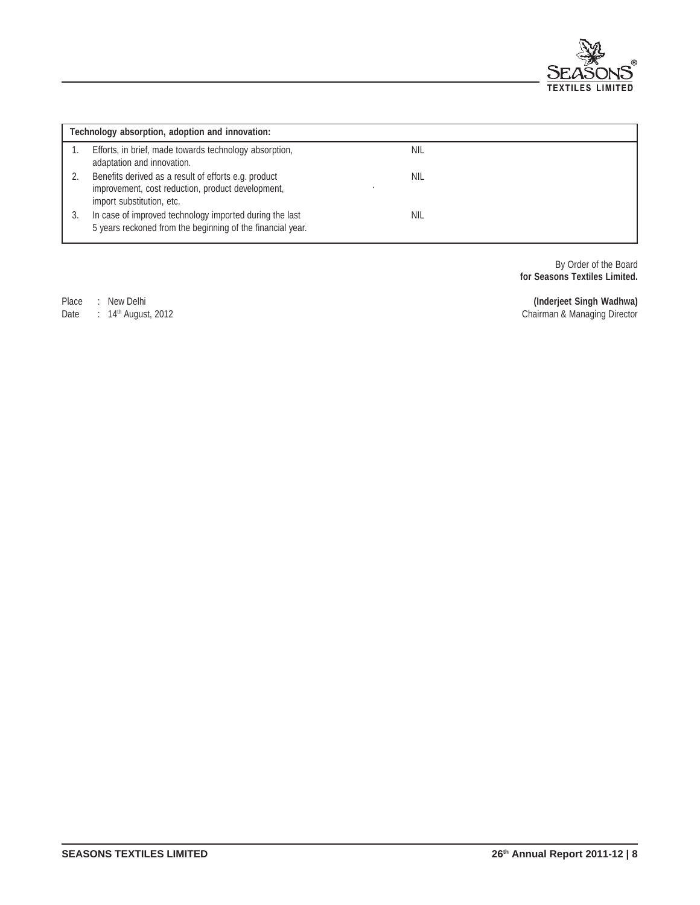

|    | Technology absorption, adoption and innovation:                                                                                        |     |  |  |  |  |
|----|----------------------------------------------------------------------------------------------------------------------------------------|-----|--|--|--|--|
|    | Efforts, in brief, made towards technology absorption,<br>adaptation and innovation.                                                   | NIL |  |  |  |  |
|    | Benefits derived as a result of efforts e.g. product<br>improvement, cost reduction, product development,<br>import substitution, etc. | NIL |  |  |  |  |
| 3. | In case of improved technology imported during the last<br>5 years reckoned from the beginning of the financial year.                  | NIL |  |  |  |  |

By Order of the Board **for Seasons Textiles Limited.**

Place : New Delhi **(Inderjeet Singh Wadhwa)**

Date : 14th August, 2012 Chairman & Managing Director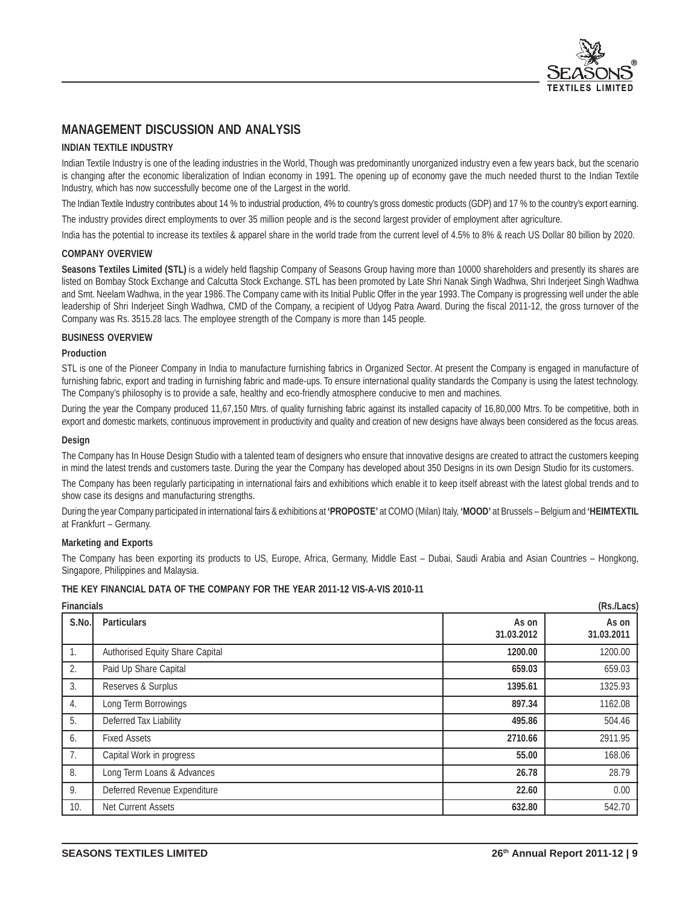

# **MANAGEMENT DISCUSSION AND ANALYSIS**

#### **INDIAN TEXTILE INDUSTRY**

Indian Textile Industry is one of the leading industries in the World, Though was predominantly unorganized industry even a few years back, but the scenario is changing after the economic liberalization of Indian economy in 1991. The opening up of economy gave the much needed thurst to the Indian Textile Industry, which has now successfully become one of the Largest in the world.

The Indian Textile Industry contributes about 14 % to industrial production, 4% to country's gross domestic products (GDP) and 17 % to the country's export earning.

The industry provides direct employments to over 35 million people and is the second largest provider of employment after agriculture.

India has the potential to increase its textiles & apparel share in the world trade from the current level of 4.5% to 8% & reach US Dollar 80 billion by 2020.

#### **COMPANY OVERVIEW**

Seasons Textiles Limited (STL) is a widely held flagship Company of Seasons Group having more than 10000 shareholders and presently its shares are listed on Bombay Stock Exchange and Calcutta Stock Exchange. STL has been promoted by Late Shri Nanak Singh Wadhwa, Shri Inderjeet Singh Wadhwa and Smt. Neelam Wadhwa, in the year 1986. The Company came with its Initial Public Offer in the year 1993. The Company is progressing well under the able leadership of Shri Inderjeet Singh Wadhwa, CMD of the Company, a recipient of Udyog Patra Award. During the fiscal 2011-12, the gross turnover of the Company was Rs. 3515.28 lacs. The employee strength of the Company is more than 145 people.

#### **BUSINESS OVERVIEW**

#### **Production**

STL is one of the Pioneer Company in India to manufacture furnishing fabrics in Organized Sector. At present the Company is engaged in manufacture of furnishing fabric, export and trading in furnishing fabric and made-ups. To ensure international quality standards the Company is using the latest technology. The Company's philosophy is to provide a safe, healthy and eco-friendly atmosphere conducive to men and machines.

During the year the Company produced 11,67,150 Mtrs. of quality furnishing fabric against its installed capacity of 16,80,000 Mtrs. To be competitive, both in export and domestic markets, continuous improvement in productivity and quality and creation of new designs have always been considered as the focus areas.

#### **Design**

The Company has In House Design Studio with a talented team of designers who ensure that innovative designs are created to attract the customers keeping in mind the latest trends and customers taste. During the year the Company has developed about 350 Designs in its own Design Studio for its customers.

The Company has been regularly participating in international fairs and exhibitions which enable it to keep itself abreast with the latest global trends and to show case its designs and manufacturing strengths.

During the year Company participated in international fairs & exhibitions at **'PROPOSTE'** at COMO (Milan) Italy, **'MOOD'** at Brussels – Belgium and **'HEIMTEXTIL** at Frankfurt – Germany.

#### **Marketing and Exports**

The Company has been exporting its products to US, Europe, Africa, Germany, Middle East – Dubai, Saudi Arabia and Asian Countries – Hongkong, Singapore, Philippines and Malaysia.

#### **THE KEY FINANCIAL DATA OF THE COMPANY FOR THE YEAR 2011-12 VIS-A-VIS 2010-11**

| <b>Financials</b> |                                 |                     |                     |  |
|-------------------|---------------------------------|---------------------|---------------------|--|
| S.No.             | <b>Particulars</b>              | As on<br>31.03.2012 | As on<br>31.03.2011 |  |
| 1.                | Authorised Equity Share Capital | 1200.00             | 1200.00             |  |
| 2.                | Paid Up Share Capital           | 659.03              | 659.03              |  |
| 3.                | Reserves & Surplus              | 1395.61             | 1325.93             |  |
| 4.                | Long Term Borrowings            | 897.34              | 1162.08             |  |
| 5.                | Deferred Tax Liability          | 495.86              | 504.46              |  |
| 6.                | <b>Fixed Assets</b>             | 2710.66             | 2911.95             |  |
| 7.                | Capital Work in progress        | 55.00               | 168.06              |  |
| 8.                | Long Term Loans & Advances      | 26.78               | 28.79               |  |
| 9.                | Deferred Revenue Expenditure    | 22.60               | 0.00                |  |
| 10.               | Net Current Assets              | 632.80              | 542.70              |  |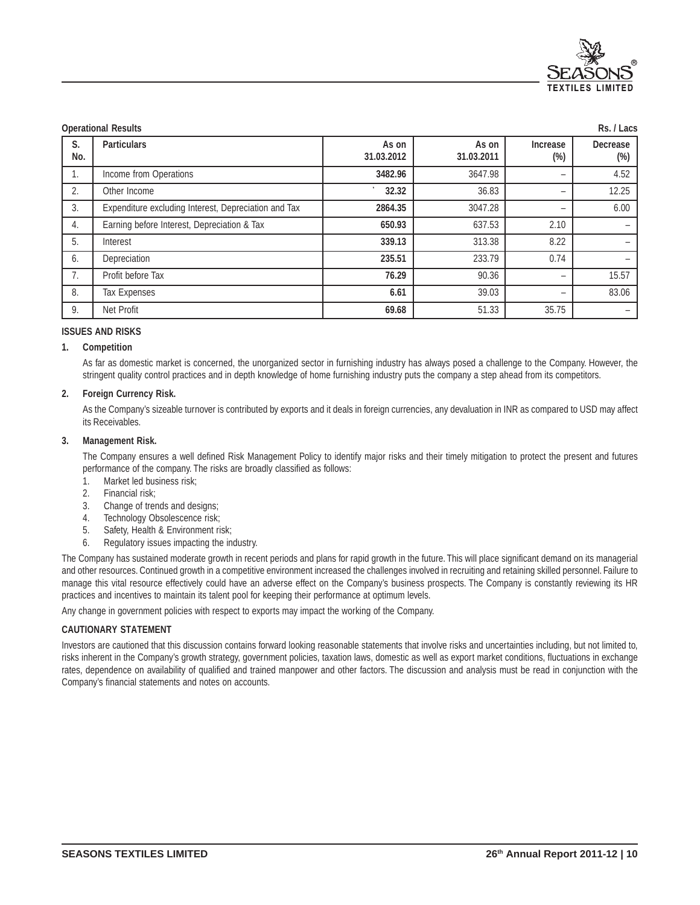

|           | <b>Operational Results</b><br>Rs. / Lacs             |                     |                     |                          |                           |  |  |
|-----------|------------------------------------------------------|---------------------|---------------------|--------------------------|---------------------------|--|--|
| S.<br>No. | <b>Particulars</b>                                   | As on<br>31.03.2012 | As on<br>31.03.2011 | Increase<br>(%)          | <b>Decrease</b><br>$(\%)$ |  |  |
| 1.        | Income from Operations                               | 3482.96             | 3647.98             |                          | 4.52                      |  |  |
| 2.        | Other Income                                         | 32.32               | 36.83               | $\overline{\phantom{0}}$ | 12.25                     |  |  |
| 3.        | Expenditure excluding Interest, Depreciation and Tax | 2864.35             | 3047.28             | -                        | 6.00                      |  |  |
| 4.        | Earning before Interest, Depreciation & Tax          | 650.93              | 637.53              | 2.10                     |                           |  |  |
| 5.        | Interest                                             | 339.13              | 313.38              | 8.22                     |                           |  |  |
| 6.        | Depreciation                                         | 235.51              | 233.79              | 0.74                     |                           |  |  |
| 7.        | Profit before Tax                                    | 76.29               | 90.36               | -                        | 15.57                     |  |  |
| 8.        | <b>Tax Expenses</b>                                  | 6.61                | 39.03               | -                        | 83.06                     |  |  |
| 9.        | Net Profit                                           | 69.68               | 51.33               | 35.75                    |                           |  |  |

#### **ISSUES AND RISKS**

#### **1. Competition**

As far as domestic market is concerned, the unorganized sector in furnishing industry has always posed a challenge to the Company. However, the stringent quality control practices and in depth knowledge of home furnishing industry puts the company a step ahead from its competitors.

#### **2. Foreign Currency Risk.**

As the Company's sizeable turnover is contributed by exports and it deals in foreign currencies, any devaluation in INR as compared to USD may affect its Receivables.

#### **3. Management Risk.**

The Company ensures a well defined Risk Management Policy to identify major risks and their timely mitigation to protect the present and futures performance of the company. The risks are broadly classified as follows:

- 1. Market led business risk:
- 2. Financial risk;
- 3. Change of trends and designs;
- 4. Technology Obsolescence risk;
- 5. Safety, Health & Environment risk;
- 6. Regulatory issues impacting the industry.

The Company has sustained moderate growth in recent periods and plans for rapid growth in the future. This will place significant demand on its managerial and other resources. Continued growth in a competitive environment increased the challenges involved in recruiting and retaining skilled personnel. Failure to manage this vital resource effectively could have an adverse effect on the Company's business prospects. The Company is constantly reviewing its HR practices and incentives to maintain its talent pool for keeping their performance at optimum levels.

Any change in government policies with respect to exports may impact the working of the Company.

#### **CAUTIONARY STATEMENT**

Investors are cautioned that this discussion contains forward looking reasonable statements that involve risks and uncertainties including, but not limited to, risks inherent in the Company's growth strategy, government policies, taxation laws, domestic as well as export market conditions, fluctuations in exchange rates, dependence on availability of qualified and trained manpower and other factors. The discussion and analysis must be read in conjunction with the Company's financial statements and notes on accounts.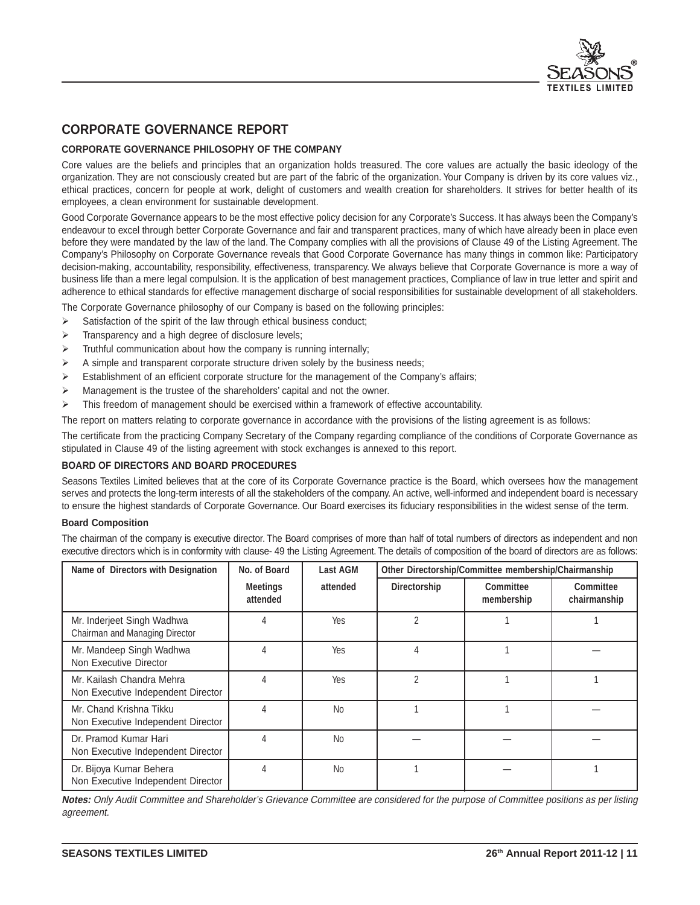

# **CORPORATE GOVERNANCE REPORT**

### **CORPORATE GOVERNANCE PHILOSOPHY OF THE COMPANY**

Core values are the beliefs and principles that an organization holds treasured. The core values are actually the basic ideology of the organization. They are not consciously created but are part of the fabric of the organization. Your Company is driven by its core values viz., ethical practices, concern for people at work, delight of customers and wealth creation for shareholders. It strives for better health of its employees, a clean environment for sustainable development.

Good Corporate Governance appears to be the most effective policy decision for any Corporate's Success. It has always been the Company's endeavour to excel through better Corporate Governance and fair and transparent practices, many of which have already been in place even before they were mandated by the law of the land. The Company complies with all the provisions of Clause 49 of the Listing Agreement. The Company's Philosophy on Corporate Governance reveals that Good Corporate Governance has many things in common like: Participatory decision-making, accountability, responsibility, effectiveness, transparency. We always believe that Corporate Governance is more a way of business life than a mere legal compulsion. It is the application of best management practices, Compliance of law in true letter and spirit and adherence to ethical standards for effective management discharge of social responsibilities for sustainable development of all stakeholders.

The Corporate Governance philosophy of our Company is based on the following principles:

- $\triangleright$ Satisfaction of the spirit of the law through ethical business conduct;
- -Transparency and a high degree of disclosure levels;
- $\blacktriangleright$ Truthful communication about how the company is running internally;
- -A simple and transparent corporate structure driven solely by the business needs;
- -Establishment of an efficient corporate structure for the management of the Company's affairs;
- $\blacktriangleright$ Management is the trustee of the shareholders' capital and not the owner.
- $\blacktriangleright$ This freedom of management should be exercised within a framework of effective accountability.

The report on matters relating to corporate governance in accordance with the provisions of the listing agreement is as follows:

The certificate from the practicing Company Secretary of the Company regarding compliance of the conditions of Corporate Governance as stipulated in Clause 49 of the listing agreement with stock exchanges is annexed to this report.

#### **BOARD OF DIRECTORS AND BOARD PROCEDURES**

Seasons Textiles Limited believes that at the core of its Corporate Governance practice is the Board, which oversees how the management serves and protects the long-term interests of all the stakeholders of the company. An active, well-informed and independent board is necessary to ensure the highest standards of Corporate Governance. Our Board exercises its fiduciary responsibilities in the widest sense of the term.

#### **Board Composition**

The chairman of the company is executive director. The Board comprises of more than half of total numbers of directors as independent and non executive directors which is in conformity with clause- 49 the Listing Agreement. The details of composition of the board of directors are as follows:

| Name of Directors with Designation                              | No. of Board                | Last AGM  | Other Directorship/Committee membership/Chairmanship |                                |                           |
|-----------------------------------------------------------------|-----------------------------|-----------|------------------------------------------------------|--------------------------------|---------------------------|
|                                                                 | <b>Meetings</b><br>attended | attended  | Directorship                                         | <b>Committee</b><br>membership | Committee<br>chairmanship |
| Mr. Inderjeet Singh Wadhwa<br>Chairman and Managing Director    | 4                           | Yes       | 2                                                    |                                |                           |
| Mr. Mandeep Singh Wadhwa<br>Non Executive Director              | 4                           | Yes       | 4                                                    |                                |                           |
| Mr. Kailash Chandra Mehra<br>Non Executive Independent Director | 4                           | Yes       | 2                                                    |                                |                           |
| Mr. Chand Krishna Tikku<br>Non Executive Independent Director   | 4                           | <b>No</b> |                                                      |                                |                           |
| Dr. Pramod Kumar Hari<br>Non Executive Independent Director     | 4                           | <b>No</b> |                                                      |                                |                           |
| Dr. Bijoya Kumar Behera<br>Non Executive Independent Director   | 4                           | <b>No</b> |                                                      |                                |                           |

**Notes:** Only Audit Committee and Shareholder's Grievance Committee are considered for the purpose of Committee positions as per listing agreement.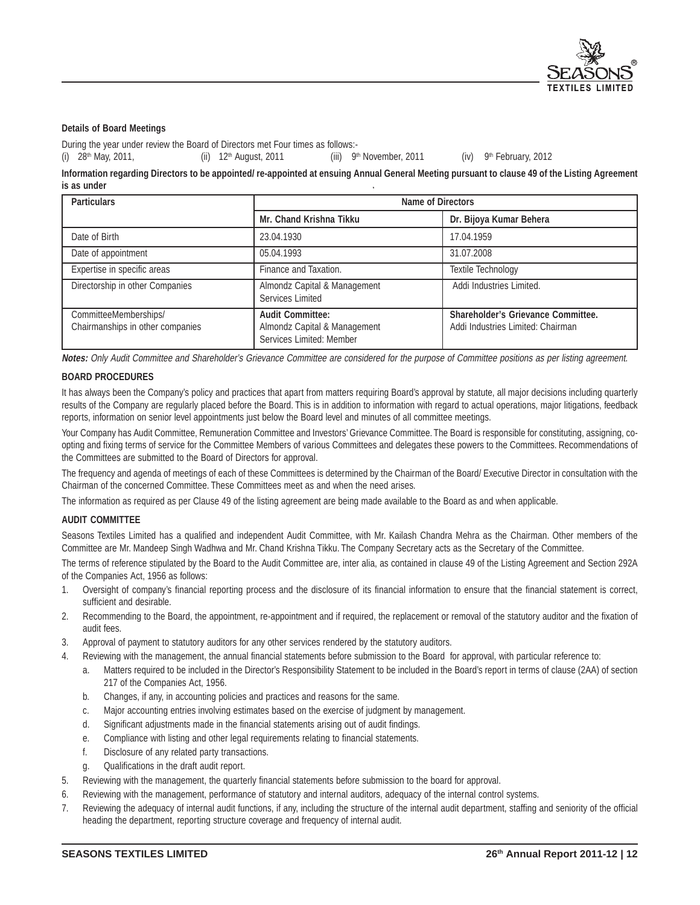

#### **Details of Board Meetings**

During the year under review the Board of Directors met Four times as follows:-

(i)  $28<sup>th</sup>$  May, 2011, (ii) 12<sup>th</sup> August, 2011 (iii) 9<sup>th</sup> November, 2011 (iv) 9<sup>th</sup> February, 2012

**Information regarding Directors to be appointed/ re-appointed at ensuing Annual General Meeting pursuant to clause 49 of the Listing Agreement is as under**

| <b>Particulars</b>                                        | Name of Directors                                                                   |                                                                                |  |
|-----------------------------------------------------------|-------------------------------------------------------------------------------------|--------------------------------------------------------------------------------|--|
|                                                           | <b>Mr. Chand Krishna Tikku</b>                                                      | Dr. Bijoya Kumar Behera                                                        |  |
| Date of Birth                                             | 23.04.1930                                                                          | 17.04.1959                                                                     |  |
| Date of appointment                                       | 05.04.1993                                                                          | 31.07.2008                                                                     |  |
| Expertise in specific areas                               | Finance and Taxation.                                                               | <b>Textile Technology</b>                                                      |  |
| Directorship in other Companies                           | Almondz Capital & Management<br>Services Limited                                    | Addi Industries Limited.                                                       |  |
| CommitteeMemberships/<br>Chairmanships in other companies | <b>Audit Committee:</b><br>Almondz Capital & Management<br>Services Limited: Member | <b>Shareholder's Grievance Committee.</b><br>Addi Industries Limited: Chairman |  |

**Notes:** Only Audit Committee and Shareholder's Grievance Committee are considered for the purpose of Committee positions as per listing agreement.

#### **BOARD PROCEDURES**

It has always been the Company's policy and practices that apart from matters requiring Board's approval by statute, all major decisions including quarterly results of the Company are regularly placed before the Board. This is in addition to information with regard to actual operations, major litigations, feedback reports, information on senior level appointments just below the Board level and minutes of all committee meetings.

Your Company has Audit Committee, Remuneration Committee and Investors' Grievance Committee. The Board is responsible for constituting, assigning, coopting and fixing terms of service for the Committee Members of various Committees and delegates these powers to the Committees. Recommendations of the Committees are submitted to the Board of Directors for approval.

The frequency and agenda of meetings of each of these Committees is determined by the Chairman of the Board/ Executive Director in consultation with the Chairman of the concerned Committee. These Committees meet as and when the need arises.

The information as required as per Clause 49 of the listing agreement are being made available to the Board as and when applicable.

#### **AUDIT COMMITTEE**

Seasons Textiles Limited has a qualified and independent Audit Committee, with Mr. Kailash Chandra Mehra as the Chairman. Other members of the Committee are Mr. Mandeep Singh Wadhwa and Mr. Chand Krishna Tikku. The Company Secretary acts as the Secretary of the Committee.

The terms of reference stipulated by the Board to the Audit Committee are, inter alia, as contained in clause 49 of the Listing Agreement and Section 292A of the Companies Act, 1956 as follows:

- 1. Oversight of company's financial reporting process and the disclosure of its financial information to ensure that the financial statement is correct, sufficient and desirable.
- 2. Recommending to the Board, the appointment, re-appointment and if required, the replacement or removal of the statutory auditor and the fixation of audit fees.
- 3. Approval of payment to statutory auditors for any other services rendered by the statutory auditors.
- 4. Reviewing with the management, the annual financial statements before submission to the Board for approval, with particular reference to:
	- a. Matters required to be included in the Director's Responsibility Statement to be included in the Board's report in terms of clause (2AA) of section 217 of the Companies Act, 1956.
	- b. Changes, if any, in accounting policies and practices and reasons for the same.
	- c. Major accounting entries involving estimates based on the exercise of judgment by management.
	- d. Significant adjustments made in the financial statements arising out of audit findings.
	- e. Compliance with listing and other legal requirements relating to financial statements.
	- f. Disclosure of any related party transactions.
	- Qualifications in the draft audit report.
- 5. Reviewing with the management, the quarterly financial statements before submission to the board for approval.
- 6. Reviewing with the management, performance of statutory and internal auditors, adequacy of the internal control systems.
- 7. Reviewing the adequacy of internal audit functions, if any, including the structure of the internal audit department, staffing and seniority of the official heading the department, reporting structure coverage and frequency of internal audit.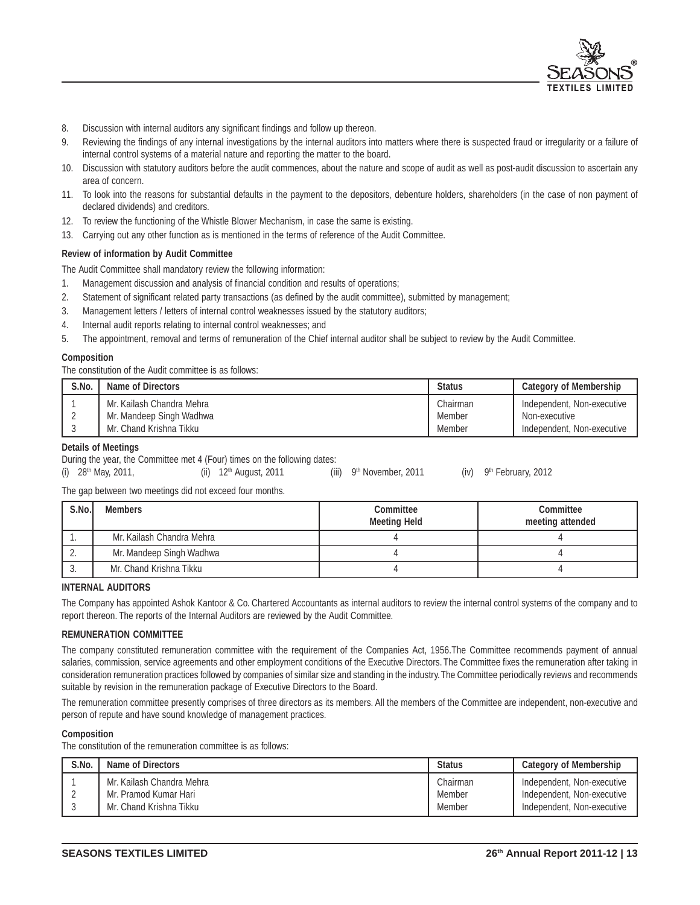

- 8. Discussion with internal auditors any significant findings and follow up thereon.
- 9. Reviewing the findings of any internal investigations by the internal auditors into matters where there is suspected fraud or irregularity or a failure of internal control systems of a material nature and reporting the matter to the board.
- 10. Discussion with statutory auditors before the audit commences, about the nature and scope of audit as well as post-audit discussion to ascertain any area of concern.
- 11. To look into the reasons for substantial defaults in the payment to the depositors, debenture holders, shareholders (in the case of non payment of declared dividends) and creditors.
- 12. To review the functioning of the Whistle Blower Mechanism, in case the same is existing.
- 13. Carrying out any other function as is mentioned in the terms of reference of the Audit Committee.

#### **Review of information by Audit Committee**

The Audit Committee shall mandatory review the following information:

- 1. Management discussion and analysis of financial condition and results of operations;
- 2. Statement of significant related party transactions (as defined by the audit committee), submitted by management;
- 3. Management letters / letters of internal control weaknesses issued by the statutory auditors;
- 4. Internal audit reports relating to internal control weaknesses; and
- 5. The appointment, removal and terms of remuneration of the Chief internal auditor shall be subject to review by the Audit Committee.

#### **Composition**

The constitution of the Audit committee is as follows:

| S.No. | Name of Directors         | <b>Status</b> | <b>Category of Membership</b> |
|-------|---------------------------|---------------|-------------------------------|
|       | Mr. Kailash Chandra Mehra | Chairman      | Independent, Non-executive    |
|       | Mr. Mandeep Singh Wadhwa  | Member        | Non-executive                 |
|       | Mr. Chand Krishna Tikku   | Member        | Independent, Non-executive    |

#### **Details of Meetings**

During the year, the Committee met 4 (Four) times on the following dates:

|  | (i) $28^{th}$ May, 2011, |  | (ii) 12 <sup>th</sup> August, 2011 |  | (iii) $9th$ November, 2011 |  | $(iv)$ 9 <sup>th</sup> February, 2012 |
|--|--------------------------|--|------------------------------------|--|----------------------------|--|---------------------------------------|
|--|--------------------------|--|------------------------------------|--|----------------------------|--|---------------------------------------|

The gap between two meetings did not exceed four months.

| S.No. | <b>Members</b>            | <b>Committee</b><br><b>Meeting Held</b> | <b>Committee</b><br>meeting attended |
|-------|---------------------------|-----------------------------------------|--------------------------------------|
|       | Mr. Kailash Chandra Mehra |                                         |                                      |
| z.    | Mr. Mandeep Singh Wadhwa  |                                         |                                      |
|       | Mr. Chand Krishna Tikku   |                                         |                                      |

#### **INTERNAL AUDITORS**

The Company has appointed Ashok Kantoor & Co. Chartered Accountants as internal auditors to review the internal control systems of the company and to report thereon. The reports of the Internal Auditors are reviewed by the Audit Committee.

#### **REMUNERATION COMMITTEE**

The company constituted remuneration committee with the requirement of the Companies Act, 1956.The Committee recommends payment of annual salaries, commission, service agreements and other employment conditions of the Executive Directors. The Committee fixes the remuneration after taking in consideration remuneration practices followed by companies of similar size and standing in the industry. The Committee periodically reviews and recommends suitable by revision in the remuneration package of Executive Directors to the Board.

The remuneration committee presently comprises of three directors as its members. All the members of the Committee are independent, non-executive and person of repute and have sound knowledge of management practices.

#### **Composition**

The constitution of the remuneration committee is as follows:

| S.No. | Name of Directors         | <b>Status</b> | <b>Category of Membership</b> |
|-------|---------------------------|---------------|-------------------------------|
|       | Mr. Kailash Chandra Mehra | Chairman      | Independent, Non-executive    |
|       | Mr. Pramod Kumar Hari     | Member        | Independent, Non-executive    |
|       | Mr. Chand Krishna Tikku   | Member        | Independent, Non-executive    |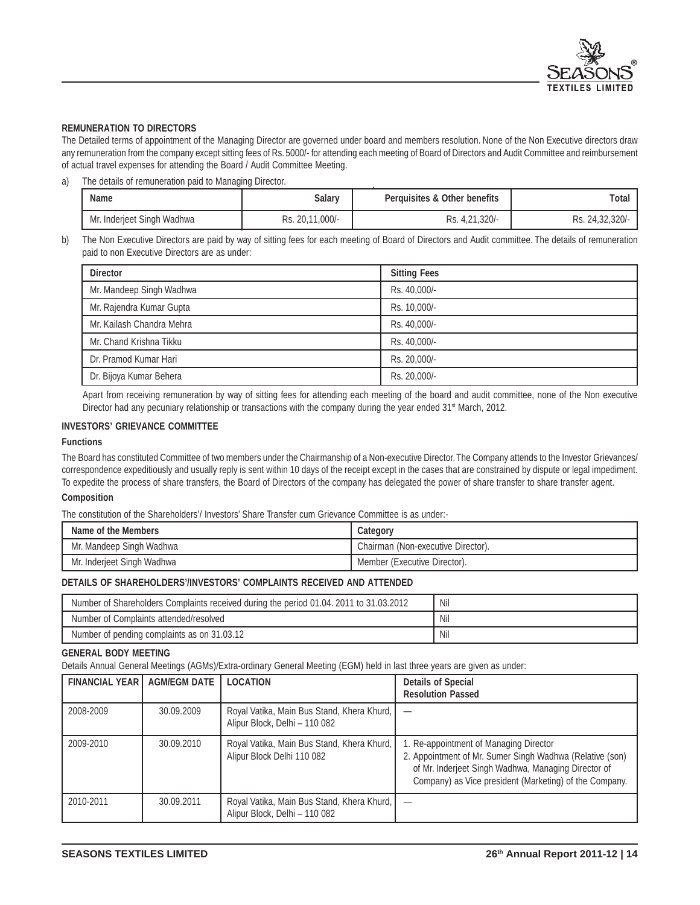

#### **REMUNERATION TO DIRECTORS**

The Detailed terms of appointment of the Managing Director are governed under board and members resolution. None of the Non Executive directors draw any remuneration from the company except sitting fees of Rs. 5000/- for attending each meeting of Board of Directors and Audit Committee and reimbursement of actual travel expenses for attending the Board / Audit Committee Meeting.

a) The details of remuneration paid to Managing Director.

| <b>Name</b>                | <b>Salary</b>   | <b>Perquisites &amp; Other benefits</b> | Total           |
|----------------------------|-----------------|-----------------------------------------|-----------------|
| Mr. Inderjeet Singh Wadhwa | Rs. 20,11,000/- | Rs. 4,21,320/-                          | Rs. 24.32.320/- |

b) The Non Executive Directors are paid by way of sitting fees for each meeting of Board of Directors and Audit committee. The details of remuneration paid to non Executive Directors are as under:

| <b>Director</b>           | <b>Sitting Fees</b> |
|---------------------------|---------------------|
| Mr. Mandeep Singh Wadhwa  | Rs. 40,000/-        |
| Mr. Rajendra Kumar Gupta  | Rs. 10.000/-        |
| Mr. Kailash Chandra Mehra | Rs. 40,000/-        |
| Mr. Chand Krishna Tikku   | Rs. 40,000/-        |
| Dr. Pramod Kumar Hari     | Rs. 20.000/-        |
| Dr. Bijoya Kumar Behera   | Rs. 20,000/-        |

Apart from receiving remuneration by way of sitting fees for attending each meeting of the board and audit committee, none of the Non executive Director had any pecuniary relationship or transactions with the company during the year ended 31<sup>st</sup> March, 2012.

#### **INVESTORS' GRIEVANCE COMMITTEE**

#### **Functions**

The Board has constituted Committee of two members under the Chairmanship of a Non-executive Director. The Company attends to the Investor Grievances/ correspondence expeditiously and usually reply is sent within 10 days of the receipt except in the cases that are constrained by dispute or legal impediment. To expedite the process of share transfers, the Board of Directors of the company has delegated the power of share transfer to share transfer agent.

#### **Composition**

The constitution of the Shareholders'/ Investors' Share Transfer cum Grievance Committee is as under:-

| Name of the Members        | Category                           |
|----------------------------|------------------------------------|
| Mr. Mandeep Singh Wadhwa   | Chairman (Non-executive Director). |
| Mr. Inderjeet Singh Wadhwa | Member (Executive Director).       |

#### **DETAILS OF SHAREHOLDERS'/INVESTORS' COMPLAINTS RECEIVED AND ATTENDED**

| Number of Shareholders Complaints received during the period 01.04. 2011 to 31.03.2012 | Nil |
|----------------------------------------------------------------------------------------|-----|
| Number of Complaints attended/resolved                                                 | Nil |
| Number of pending complaints as on 31.03.12                                            | Nil |

#### **GENERAL BODY MEETING**

Details Annual General Meetings (AGMs)/Extra-ordinary General Meeting (EGM) held in last three years are given as under:

| <b>FINANCIAL YEAR I</b> | <b>AGM/EGM DATE</b> | <b>LOCATION</b>                                                             | <b>Details of Special</b><br><b>Resolution Passed</b>                                                                                                                                                               |
|-------------------------|---------------------|-----------------------------------------------------------------------------|---------------------------------------------------------------------------------------------------------------------------------------------------------------------------------------------------------------------|
| 2008-2009               | 30.09.2009          | Royal Vatika, Main Bus Stand, Khera Khurd,<br>Alipur Block, Delhi - 110 082 |                                                                                                                                                                                                                     |
| 2009-2010               | 30.09.2010          | Royal Vatika, Main Bus Stand, Khera Khurd,<br>Alipur Block Delhi 110 082    | 1. Re-appointment of Managing Director<br>2. Appointment of Mr. Sumer Singh Wadhwa (Relative (son)<br>of Mr. Inderjeet Singh Wadhwa, Managing Director of<br>Company) as Vice president (Marketing) of the Company. |
| 2010-2011               | 30.09.2011          | Royal Vatika, Main Bus Stand, Khera Khurd,<br>Alipur Block, Delhi - 110 082 |                                                                                                                                                                                                                     |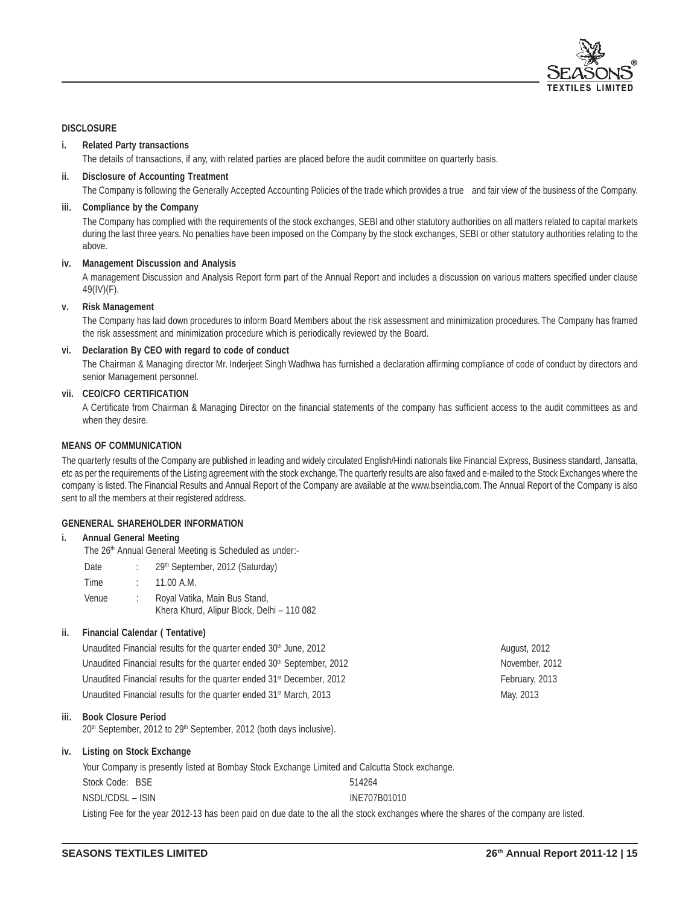

#### **DISCLOSURE**

#### **i. Related Party transactions**

The details of transactions, if any, with related parties are placed before the audit committee on quarterly basis.

#### **ii. Disclosure of Accounting Treatment**

The Company is following the Generally Accepted Accounting Policies of the trade which provides a true and fair view of the business of the Company.

#### **iii. Compliance by the Company**

The Company has complied with the requirements of the stock exchanges, SEBI and other statutory authorities on all matters related to capital markets during the last three years. No penalties have been imposed on the Company by the stock exchanges, SEBI or other statutory authorities relating to the above.

#### **iv. Management Discussion and Analysis**

A management Discussion and Analysis Report form part of the Annual Report and includes a discussion on various matters specified under clause 49(IV)(F).

#### **v. Risk Management**

The Company has laid down procedures to inform Board Members about the risk assessment and minimization procedures. The Company has framed the risk assessment and minimization procedure which is periodically reviewed by the Board.

#### **vi. Declaration By CEO with regard to code of conduct**

The Chairman & Managing director Mr. Inderjeet Singh Wadhwa has furnished a declaration affirming compliance of code of conduct by directors and senior Management personnel.

#### **vii. CEO/CFO CERTIFICATION**

A Certificate from Chairman & Managing Director on the financial statements of the company has sufficient access to the audit committees as and when they desire.

#### **MEANS OF COMMUNICATION**

The quarterly results of the Company are published in leading and widely circulated English/Hindi nationals like Financial Express, Business standard, Jansatta, etc as per the requirements of the Listing agreement with the stock exchange. The quarterly results are also faxed and e-mailed to the Stock Exchanges where the company is listed. The Financial Results and Annual Report of the Company are available at the www.bseindia.com. The Annual Report of the Company is also sent to all the members at their registered address.

#### **GENENERAL SHAREHOLDER INFORMATION**

#### **i. Annual General Meeting**

The 26<sup>th</sup> Annual General Meeting is Scheduled as under:-

Date : 29<sup>th</sup> September, 2012 (Saturday) Time : 11.00 A.M. Venue : Royal Vatika, Main Bus Stand, Khera Khurd, Alipur Block, Delhi – 110 082

#### **ii. Financial Calendar ( Tentative)**

Unaudited Financial results for the quarter ended 30<sup>th</sup> June, 2012 **August, 2012** August, 2012 Unaudited Financial results for the quarter ended 30<sup>th</sup> September, 2012 November, 2012 Unaudited Financial results for the quarter ended 31<sup>st</sup> December, 2012 February, 2013 Unaudited Financial results for the quarter ended 31<sup>st</sup> March, 2013 May, 2013

#### **iii. Book Closure Period**

20<sup>th</sup> September, 2012 to 29<sup>th</sup> September, 2012 (both days inclusive).

#### **iv. Listing on Stock Exchange**

|                  | Your Company is presently listed at Bombay Stock Exchange Limited and Calcutta Stock exchange. |
|------------------|------------------------------------------------------------------------------------------------|
| Stock Code: BSE  | 514264                                                                                         |
| NSDL/CDSL – ISIN | INE707B01010                                                                                   |
|                  |                                                                                                |

Listing Fee for the year 2012-13 has been paid on due date to the all the stock exchanges where the shares of the company are listed.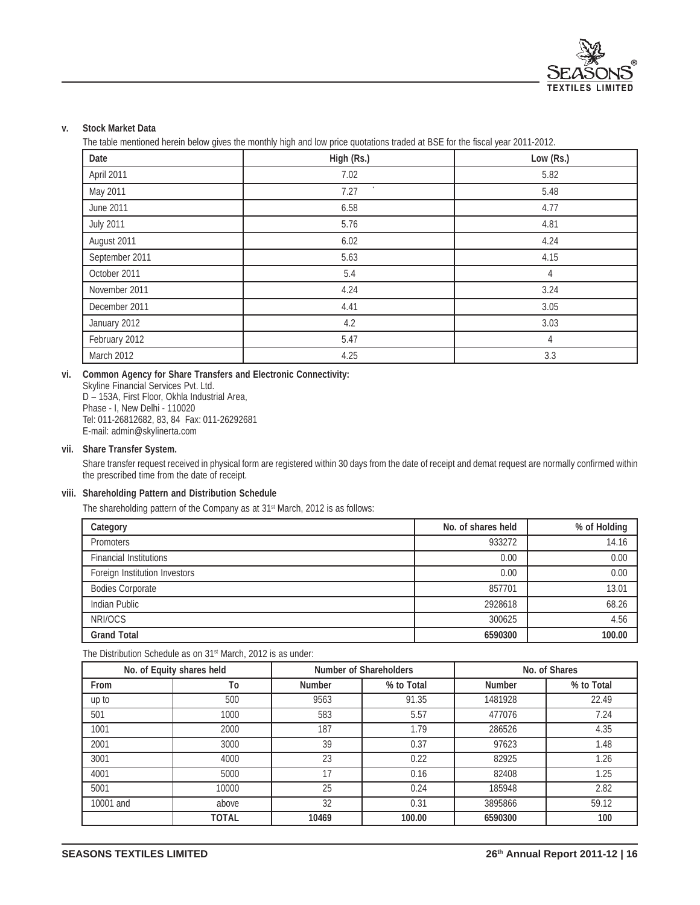

### **v. Stock Market Data**

The table mentioned herein below gives the monthly high and low price quotations traded at BSE for the fiscal year 2011-2012.

| Date             | High (Rs.) | Low (Rs.) |
|------------------|------------|-----------|
| April 2011       | 7.02       | 5.82      |
| May 2011         | 7.27       | 5.48      |
| June 2011        | 6.58       | 4.77      |
| <b>July 2011</b> | 5.76       | 4.81      |
| August 2011      | 6.02       | 4.24      |
| September 2011   | 5.63       | 4.15      |
| October 2011     | 5.4        | 4         |
| November 2011    | 4.24       | 3.24      |
| December 2011    | 4.41       | 3.05      |
| January 2012     | 4.2        | 3.03      |
| February 2012    | 5.47       | 4         |
| March 2012       | 4.25       | 3.3       |

#### **vi. Common Agency for Share Transfers and Electronic Connectivity:**

Skyline Financial Services Pvt. Ltd. D – 153A, First Floor, Okhla Industrial Area, Phase - I, New Delhi - 110020 Tel: 011-26812682, 83, 84 Fax: 011-26292681 E-mail: admin@skylinerta.com

#### **vii. Share Transfer System.**

Share transfer request received in physical form are registered within 30 days from the date of receipt and demat request are normally confirmed within the prescribed time from the date of receipt.

#### **viii. Shareholding Pattern and Distribution Schedule**

The shareholding pattern of the Company as at 31<sup>st</sup> March, 2012 is as follows:

| Category                      | No. of shares held | % of Holding |
|-------------------------------|--------------------|--------------|
| Promoters                     | 933272             | 14.16        |
| <b>Financial Institutions</b> | 0.00               | 0.00         |
| Foreign Institution Investors | 0.00               | 0.00         |
| <b>Bodies Corporate</b>       | 857701             | 13.01        |
| Indian Public                 | 2928618            | 68.26        |
| NRI/OCS                       | 300625             | 4.56         |
| <b>Grand Total</b>            | 6590300            | 100.00       |

The Distribution Schedule as on 31<sup>st</sup> March, 2012 is as under:

| No. of Equity shares held |              | <b>Number of Shareholders</b> |            | No. of Shares |            |
|---------------------------|--------------|-------------------------------|------------|---------------|------------|
| <b>From</b>               | To           | <b>Number</b>                 | % to Total | <b>Number</b> | % to Total |
| up to                     | 500          | 9563                          | 91.35      | 1481928       | 22.49      |
| 501                       | 1000         | 583                           | 5.57       | 477076        | 7.24       |
| 1001                      | 2000         | 187                           | 1.79       | 286526        | 4.35       |
| 2001                      | 3000         | 39                            | 0.37       | 97623         | 1.48       |
| 3001                      | 4000         | 23                            | 0.22       | 82925         | 1.26       |
| 4001                      | 5000         | 17                            | 0.16       | 82408         | 1.25       |
| 5001                      | 10000        | 25                            | 0.24       | 185948        | 2.82       |
| 10001 and                 | above        | 32                            | 0.31       | 3895866       | 59.12      |
|                           | <b>TOTAL</b> | 10469                         | 100.00     | 6590300       | 100        |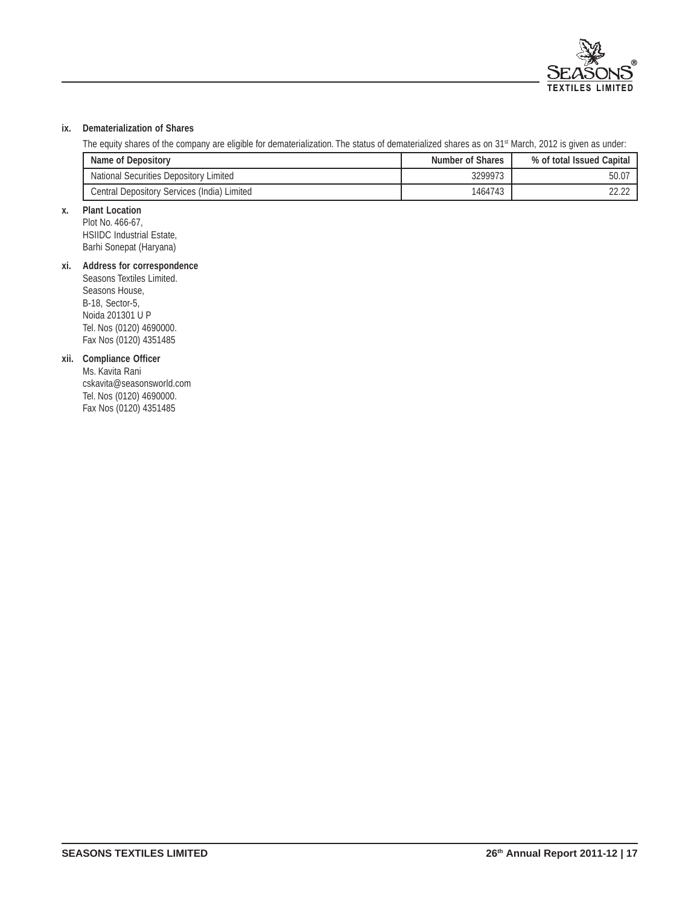

### **ix. Dematerialization of Shares**

The equity shares of the company are eligible for dematerialization. The status of dematerialized shares as on 31<sup>st</sup> March, 2012 is given as under:

| Name of Depository                          | <b>Number of Shares</b> | % of total Issued Capital |
|---------------------------------------------|-------------------------|---------------------------|
| National Securities Depository Limited      | 3299973                 | $50.0^-$                  |
| Central Depository Services (India) Limited | 1464743                 | 22.22                     |

## **x. Plant Location**

Plot No. 466-67, HSIIDC Industrial Estate, Barhi Sonepat (Haryana)

### **xi. Address for correspondence**

Seasons Textiles Limited. Seasons House, B-18, Sector-5, Noida 201301 U P Tel. Nos (0120) 4690000. Fax Nos (0120) 4351485

### **xii. Compliance Officer**

Ms. Kavita Rani cskavita@seasonsworld.com Tel. Nos (0120) 4690000. Fax Nos (0120) 4351485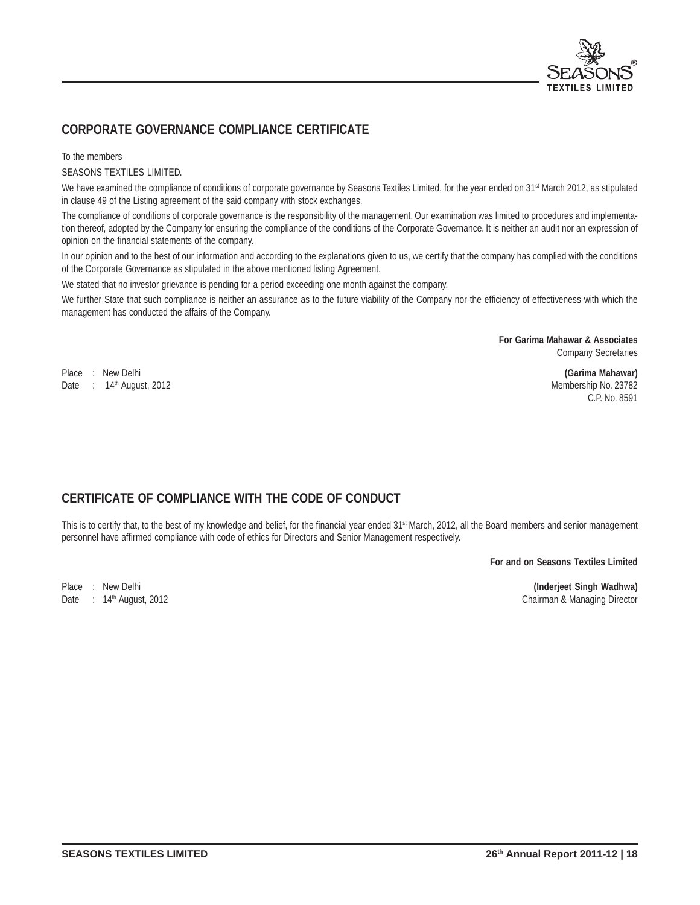

# **CORPORATE GOVERNANCE COMPLIANCE CERTIFICATE**

To the members

SEASONS TEXTILES LIMITED.

We have examined the compliance of conditions of corporate governance by Seasons Textiles Limited, for the year ended on 31st March 2012, as stipulated in clause 49 of the Listing agreement of the said company with stock exchanges.

The compliance of conditions of corporate governance is the responsibility of the management. Our examination was limited to procedures and implementation thereof, adopted by the Company for ensuring the compliance of the conditions of the Corporate Governance. It is neither an audit nor an expression of opinion on the financial statements of the company.

In our opinion and to the best of our information and according to the explanations given to us, we certify that the company has complied with the conditions of the Corporate Governance as stipulated in the above mentioned listing Agreement.

We stated that no investor grievance is pending for a period exceeding one month against the company.

We further State that such compliance is neither an assurance as to the future viability of the Company nor the efficiency of effectiveness with which the management has conducted the affairs of the Company.

> **For Garima Mahawar & Associates** Company Secretaries

Place : New Delhi **(Garima Mahawar)** Date : 14th August, 2012 Membership No. 23782

C.P. No. 8591

# **CERTIFICATE OF COMPLIANCE WITH THE CODE OF CONDUCT**

This is to certify that, to the best of my knowledge and belief, for the financial year ended 31<sup>st</sup> March, 2012, all the Board members and senior management personnel have affirmed compliance with code of ethics for Directors and Senior Management respectively.

**For and on Seasons Textiles Limited**

Place : New Delhi **(Inderjeet Singh Wadhwa)** Chairman & Managing Director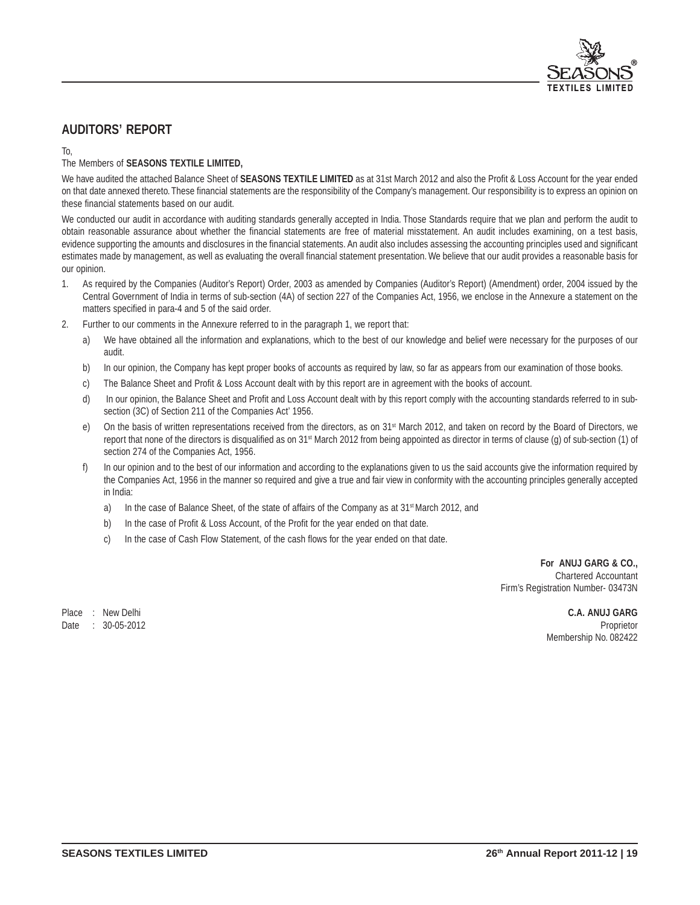

# **AUDITORS' REPORT**

### To,

### The Members of **SEASONS TEXTILE LIMITED,**

We have audited the attached Balance Sheet of **SEASONS TEXTILE LIMITED** as at 31st March 2012 and also the Profit & Loss Account for the year ended on that date annexed thereto. These financial statements are the responsibility of the Company's management. Our responsibility is to express an opinion on these financial statements based on our audit.

We conducted our audit in accordance with auditing standards generally accepted in India. Those Standards require that we plan and perform the audit to obtain reasonable assurance about whether the financial statements are free of material misstatement. An audit includes examining, on a test basis, evidence supporting the amounts and disclosures in the financial statements. An audit also includes assessing the accounting principles used and significant estimates made by management, as well as evaluating the overall financial statement presentation. We believe that our audit provides a reasonable basis for our opinion.

- 1. As required by the Companies (Auditor's Report) Order, 2003 as amended by Companies (Auditor's Report) (Amendment) order, 2004 issued by the Central Government of India in terms of sub-section (4A) of section 227 of the Companies Act, 1956, we enclose in the Annexure a statement on the matters specified in para-4 and 5 of the said order.
- 2. Further to our comments in the Annexure referred to in the paragraph 1, we report that:
	- a) We have obtained all the information and explanations, which to the best of our knowledge and belief were necessary for the purposes of our audit.
	- b) In our opinion, the Company has kept proper books of accounts as required by law, so far as appears from our examination of those books.
	- c) The Balance Sheet and Profit & Loss Account dealt with by this report are in agreement with the books of account.
	- d) In our opinion, the Balance Sheet and Profit and Loss Account dealt with by this report comply with the accounting standards referred to in subsection (3C) of Section 211 of the Companies Act' 1956.
	- e) On the basis of written representations received from the directors, as on 31<sup>st</sup> March 2012, and taken on record by the Board of Directors, we report that none of the directors is disqualified as on 31<sup>st</sup> March 2012 from being appointed as director in terms of clause (g) of sub-section (1) of section 274 of the Companies Act, 1956.
	- f) In our opinion and to the best of our information and according to the explanations given to us the said accounts give the information required by the Companies Act, 1956 in the manner so required and give a true and fair view in conformity with the accounting principles generally accepted in India:
		- a) In the case of Balance Sheet, of the state of affairs of the Company as at 31<sup>st</sup> March 2012, and
		- b) In the case of Profit & Loss Account, of the Profit for the year ended on that date.
		- c) In the case of Cash Flow Statement, of the cash flows for the year ended on that date.

 **For ANUJ GARG & CO.,** Chartered Accountant Firm's Registration Number- 03473N

Place : New Delhi **C.A. ANUJ GARG** Date : 30-05-2012 Proprietor Membership No. 082422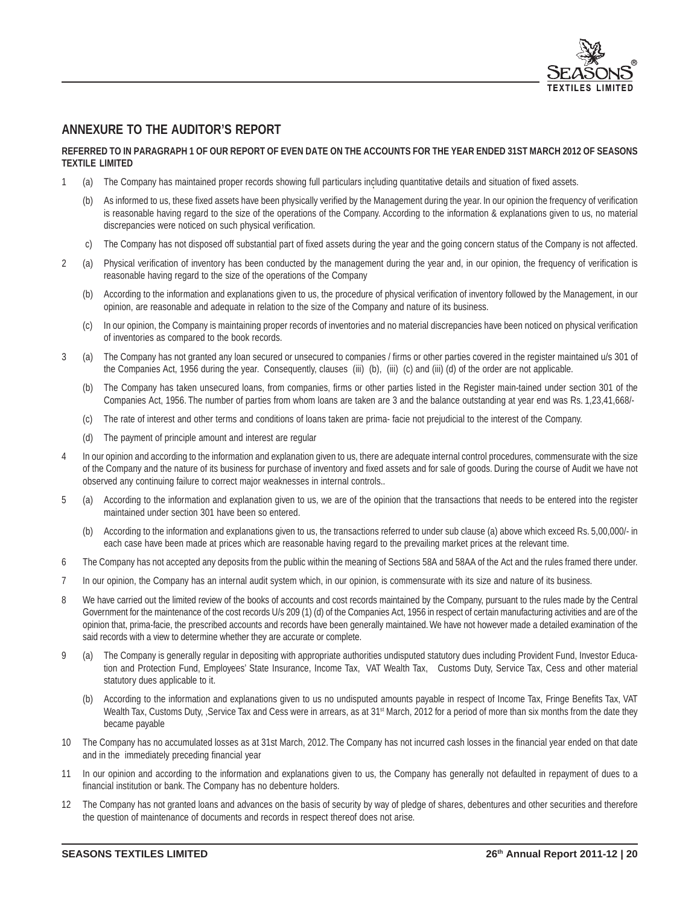

# **ANNEXURE TO THE AUDITOR'S REPORT**

#### **REFERRED TO IN PARAGRAPH 1 OF OUR REPORT OF EVEN DATE ON THE ACCOUNTS FOR THE YEAR ENDED 31ST MARCH 2012 OF SEASONS TEXTILE LIMITED**

- **<sup>R</sup>** 1 (a) The Company has maintained proper records showing full particulars including quantitative details and situation of fixed assets.
	- (b) As informed to us, these fixed assets have been physically verified by the Management during the year. In our opinion the frequency of verification is reasonable having regard to the size of the operations of the Company. According to the information & explanations given to us, no material discrepancies were noticed on such physical verification.
	- c) The Company has not disposed off substantial part of fixed assets during the year and the going concern status of the Company is not affected.
- 2 (a) Physical verification of inventory has been conducted by the management during the year and, in our opinion, the frequency of verification is reasonable having regard to the size of the operations of the Company
	- (b) According to the information and explanations given to us, the procedure of physical verification of inventory followed by the Management, in our opinion, are reasonable and adequate in relation to the size of the Company and nature of its business.
	- (c) In our opinion, the Company is maintaining proper records of inventories and no material discrepancies have been noticed on physical verification of inventories as compared to the book records.
- 3 (a) The Company has not granted any loan secured or unsecured to companies / firms or other parties covered in the register maintained u/s 301 of the Companies Act, 1956 during the year. Consequently, clauses (iii) (b), (iii) (c) and (iii) (d) of the order are not applicable.
	- (b) The Company has taken unsecured loans, from companies, firms or other parties listed in the Register main-tained under section 301 of the Companies Act, 1956. The number of parties from whom loans are taken are 3 and the balance outstanding at year end was Rs. 1,23,41,668/-
	- (c) The rate of interest and other terms and conditions of loans taken are prima- facie not prejudicial to the interest of the Company.
	- (d) The payment of principle amount and interest are regular
- 4 In our opinion and according to the information and explanation given to us, there are adequate internal control procedures, commensurate with the size of the Company and the nature of its business for purchase of inventory and fixed assets and for sale of goods. During the course of Audit we have not observed any continuing failure to correct major weaknesses in internal controls..
- 5 (a) According to the information and explanation given to us, we are of the opinion that the transactions that needs to be entered into the register maintained under section 301 have been so entered.
	- (b) According to the information and explanations given to us, the transactions referred to under sub clause (a) above which exceed Rs. 5,00,000/- in each case have been made at prices which are reasonable having regard to the prevailing market prices at the relevant time.
- 6 The Company has not accepted any deposits from the public within the meaning of Sections 58A and 58AA of the Act and the rules framed there under.
- 7 In our opinion, the Company has an internal audit system which, in our opinion, is commensurate with its size and nature of its business.
- 8 We have carried out the limited review of the books of accounts and cost records maintained by the Company, pursuant to the rules made by the Central Government for the maintenance of the cost records U/s 209 (1) (d) of the Companies Act, 1956 in respect of certain manufacturing activities and are of the opinion that, prima-facie, the prescribed accounts and records have been generally maintained. We have not however made a detailed examination of the said records with a view to determine whether they are accurate or complete.
- 9 (a) The Company is generally regular in depositing with appropriate authorities undisputed statutory dues including Provident Fund, Investor Education and Protection Fund, Employees' State Insurance, Income Tax, VAT Wealth Tax, Customs Duty, Service Tax, Cess and other material statutory dues applicable to it.
	- (b) According to the information and explanations given to us no undisputed amounts payable in respect of Income Tax, Fringe Benefits Tax, VAT Wealth Tax, Customs Duty, ,Service Tax and Cess were in arrears, as at 31<sup>st</sup> March, 2012 for a period of more than six months from the date they became payable
- 10 The Company has no accumulated losses as at 31st March, 2012. The Company has not incurred cash losses in the financial year ended on that date and in the immediately preceding financial year
- 11 In our opinion and according to the information and explanations given to us, the Company has generally not defaulted in repayment of dues to a financial institution or bank. The Company has no debenture holders.
- 12 The Company has not granted loans and advances on the basis of security by way of pledge of shares, debentures and other securities and therefore the question of maintenance of documents and records in respect thereof does not arise.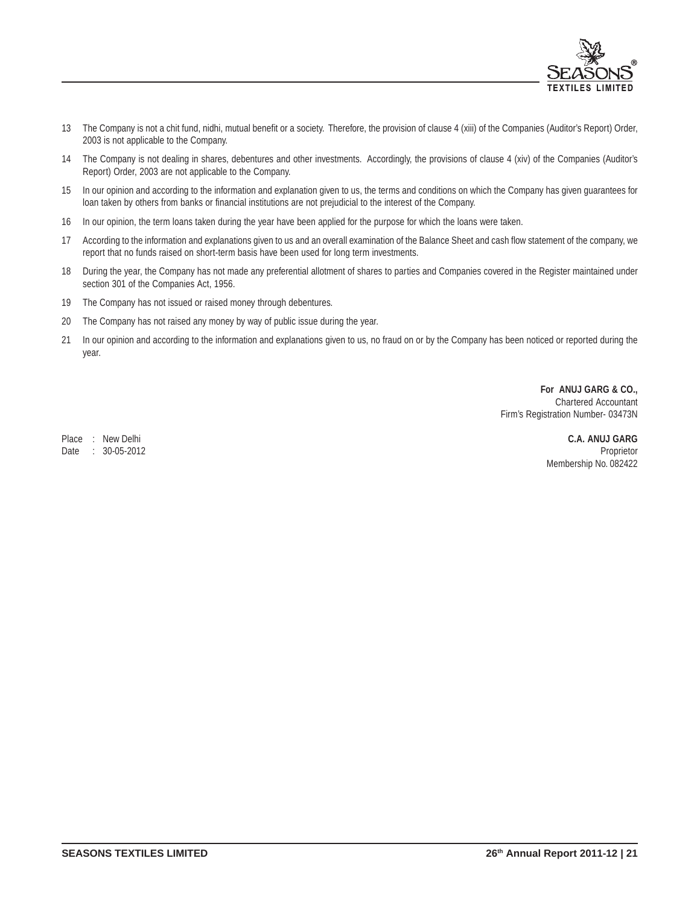

- 13 The Company is not a chit fund, nidhi, mutual benefit or a society. Therefore, the provision of clause 4 (xiii) of the Companies (Auditor's Report) Order, 2003 is not applicable to the Company.
- 14 The Company is not dealing in shares, debentures and other investments. Accordingly, the provisions of clause 4 (xiv) of the Companies (Auditor's Report) Order, 2003 are not applicable to the Company.
- 15 In our opinion and according to the information and explanation given to us, the terms and conditions on which the Company has given guarantees for loan taken by others from banks or financial institutions are not prejudicial to the interest of the Company.
- 16 In our opinion, the term loans taken during the year have been applied for the purpose for which the loans were taken.
- 17 According to the information and explanations given to us and an overall examination of the Balance Sheet and cash flow statement of the company, we report that no funds raised on short-term basis have been used for long term investments.
- 18 During the year, the Company has not made any preferential allotment of shares to parties and Companies covered in the Register maintained under section 301 of the Companies Act, 1956.
- 19 The Company has not issued or raised money through debentures.
- 20 The Company has not raised any money by way of public issue during the year.
- 21 In our opinion and according to the information and explanations given to us, no fraud on or by the Company has been noticed or reported during the year.

 **For ANUJ GARG & CO.,** Chartered Accountant Firm's Registration Number- 03473N

Place : New Delhi **C.A. ANUJ GARG** Date : 30-05-2012 Proprietor Membership No. 082422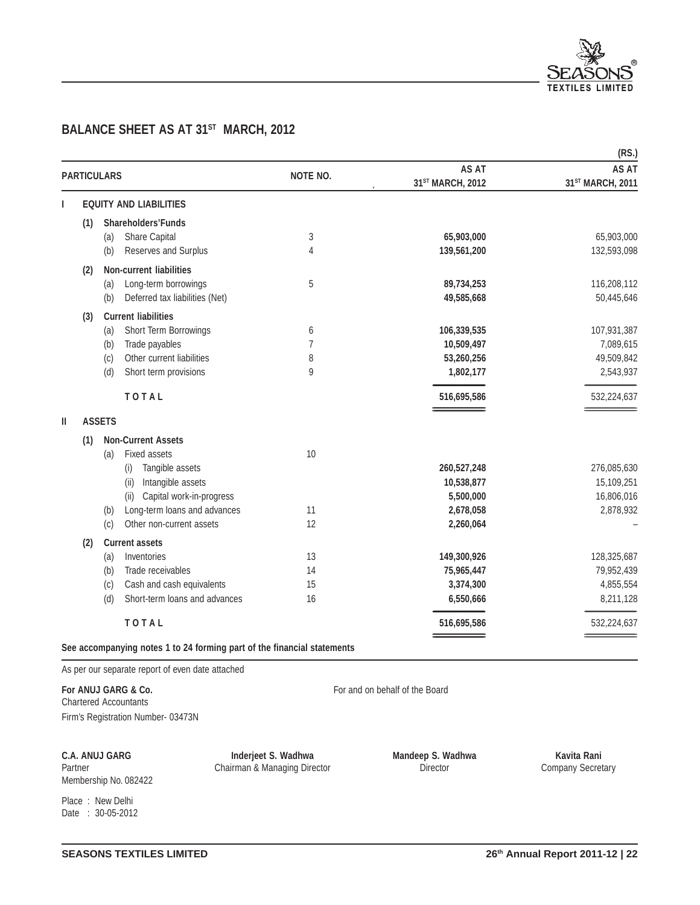

# **BALANCE SHEET AS AT 31<sup>ST</sup> MARCH, 2012**

|                    |               |                                                                         |          |                              | (RS.)            |
|--------------------|---------------|-------------------------------------------------------------------------|----------|------------------------------|------------------|
| <b>PARTICULARS</b> |               |                                                                         | NOTE NO. | AS AT                        | <b>AS AT</b>     |
|                    |               |                                                                         |          | 31 <sup>ST</sup> MARCH, 2012 | 31ST MARCH, 2011 |
| L                  |               | <b>EQUITY AND LIABILITIES</b>                                           |          |                              |                  |
| (1)                |               | <b>Shareholders'Funds</b>                                               |          |                              |                  |
|                    | (a)           | Share Capital                                                           | 3        | 65,903,000                   | 65,903,000       |
|                    | (b)           | Reserves and Surplus                                                    | 4        | 139,561,200                  | 132,593,098      |
| (2)                |               | <b>Non-current liabilities</b>                                          |          |                              |                  |
|                    | (a)           | Long-term borrowings                                                    | 5        | 89,734,253                   | 116,208,112      |
|                    | (b)           | Deferred tax liabilities (Net)                                          |          | 49,585,668                   | 50,445,646       |
| (3)                |               | <b>Current liabilities</b>                                              |          |                              |                  |
|                    | (a)           | Short Term Borrowings                                                   | 6        | 106,339,535                  | 107,931,387      |
|                    | (b)           | Trade payables                                                          | 7        | 10,509,497                   | 7,089,615        |
|                    | (c)           | Other current liabilities                                               | 8        | 53,260,256                   | 49,509,842       |
|                    | (d)           | Short term provisions                                                   | 9        | 1,802,177                    | 2,543,937        |
|                    |               | TOTAL                                                                   |          | 516,695,586                  | 532,224,637      |
| Ш                  | <b>ASSETS</b> |                                                                         |          |                              |                  |
| (1)                |               | <b>Non-Current Assets</b>                                               |          |                              |                  |
|                    | (a)           | Fixed assets                                                            | 10       |                              |                  |
|                    |               | Tangible assets<br>(i)                                                  |          | 260,527,248                  | 276,085,630      |
|                    |               | Intangible assets<br>(ii)                                               |          | 10,538,877                   | 15,109,251       |
|                    |               | Capital work-in-progress<br>(ii)                                        |          | 5,500,000                    | 16,806,016       |
|                    | (b)           | Long-term loans and advances                                            | 11       | 2,678,058                    | 2,878,932        |
|                    | (c)           | Other non-current assets                                                | 12       | 2,260,064                    |                  |
| (2)                |               | <b>Current assets</b>                                                   |          |                              |                  |
|                    | (a)           | Inventories                                                             | 13       | 149,300,926                  | 128,325,687      |
|                    | (b)           | Trade receivables                                                       | 14       | 75,965,447                   | 79,952,439       |
|                    | (c)           | Cash and cash equivalents                                               | 15       | 3,374,300                    | 4,855,554        |
|                    | (d)           | Short-term loans and advances                                           | 16       | 6,550,666                    | 8,211,128        |
|                    |               | TOTAL                                                                   |          | 516,695,586                  | 532,224,637      |
|                    |               | See accompanying notes 1 to 24 forming part of the financial statements |          |                              |                  |

As per our separate report of even date attached

For ANUJ GARG & Co. **For ANUJ GARG & Co.** For and on behalf of the Board Chartered Accountants Firm's Registration Number- 03473N

**C.A. ANUJ GARG Inderjeet S. Wadhwa Mandeep S. Wadhwa Kavita Rani**<br>Partner **Company Secretary** Chairman & Managing Director **Company Secretary** Company Secretary Partner Chairman & Managing Director

Membership No. 082422 Place : New Delhi Date : 30-05-2012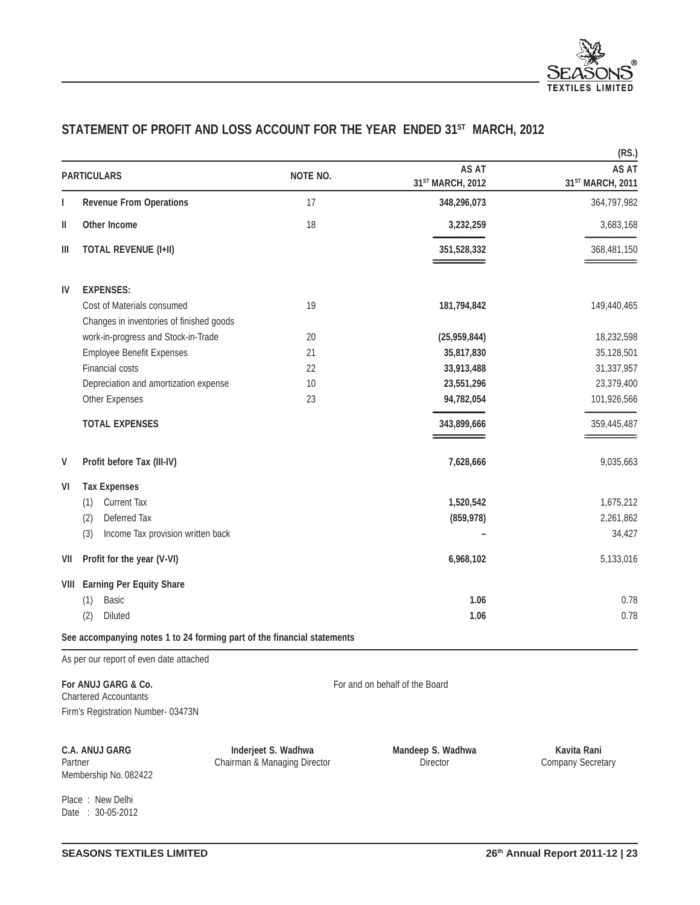

# STATEMENT OF PROFIT AND LOSS ACCOUNT FOR THE YEAR ENDED 31<sup>ST</sup> MARCH, 2012

|                     |                                                                         |                 |                                  | (RS.)                            |
|---------------------|-------------------------------------------------------------------------|-----------------|----------------------------------|----------------------------------|
|                     | <b>PARTICULARS</b>                                                      | <b>NOTE NO.</b> | <b>AS AT</b><br>31ST MARCH, 2012 | <b>AS AT</b><br>31ST MARCH, 2011 |
| ı                   | <b>Revenue From Operations</b>                                          | 17              | 348,296,073                      | 364,797,982                      |
| Ш                   | Other Income                                                            | 18              | 3,232,259                        | 3,683,168                        |
| Ш                   | <b>TOTAL REVENUE (I+II)</b>                                             |                 | 351,528,332                      | 368,481,150                      |
| IV                  | <b>EXPENSES:</b>                                                        |                 |                                  |                                  |
|                     | Cost of Materials consumed<br>Changes in inventories of finished goods  | 19              | 181,794,842                      | 149,440,465                      |
|                     | work-in-progress and Stock-in-Trade                                     | 20              | (25,959,844)                     | 18,232,598                       |
|                     | <b>Employee Benefit Expenses</b>                                        | 21              | 35,817,830                       | 35,128,501                       |
|                     | <b>Financial costs</b>                                                  | 22              | 33,913,488                       | 31,337,957                       |
|                     | Depreciation and amortization expense                                   | 10              | 23,551,296                       | 23,379,400                       |
|                     | Other Expenses                                                          | 23              | 94,782,054                       | 101,926,566                      |
|                     | <b>TOTAL EXPENSES</b>                                                   |                 | 343,899,666                      | 359,445,487                      |
| V                   | Profit before Tax (III-IV)                                              |                 | 7,628,666                        | 9,035,663                        |
| VI                  | <b>Tax Expenses</b>                                                     |                 |                                  |                                  |
|                     | <b>Current Tax</b><br>(1)                                               |                 | 1,520,542                        | 1,675,212                        |
|                     | Deferred Tax<br>(2)                                                     |                 | (859, 978)                       | 2,261,862                        |
|                     | Income Tax provision written back<br>(3)                                |                 |                                  | 34,427                           |
| VII                 | Profit for the year (V-VI)                                              |                 | 6,968,102                        | 5,133,016                        |
| VIII                | <b>Earning Per Equity Share</b>                                         |                 |                                  |                                  |
|                     | <b>Basic</b><br>(1)                                                     |                 | 1.06                             | 0.78                             |
|                     | (2)<br>Diluted                                                          |                 | 1.06                             | 0.78                             |
|                     | See accompanying notes 1 to 24 forming part of the financial statements |                 |                                  |                                  |
|                     | As per our report of even date attached                                 |                 |                                  |                                  |
| For ANUJ GARG & Co. |                                                                         |                 | For and on behalf of the Board   |                                  |

Chartered Accountants Firm's Registration Number- 03473N

Membership No. 082422

**C.A. ANUJ GARG Inderjeet S. Wadhwa Mandeep S. Wadhwa Kavita Rani**<br>Partner **Company Secretary** Chairman & Managing Director **Company Secretary** Director Partner Chairman & Managing Director

Place : New Delhi Date : 30-05-2012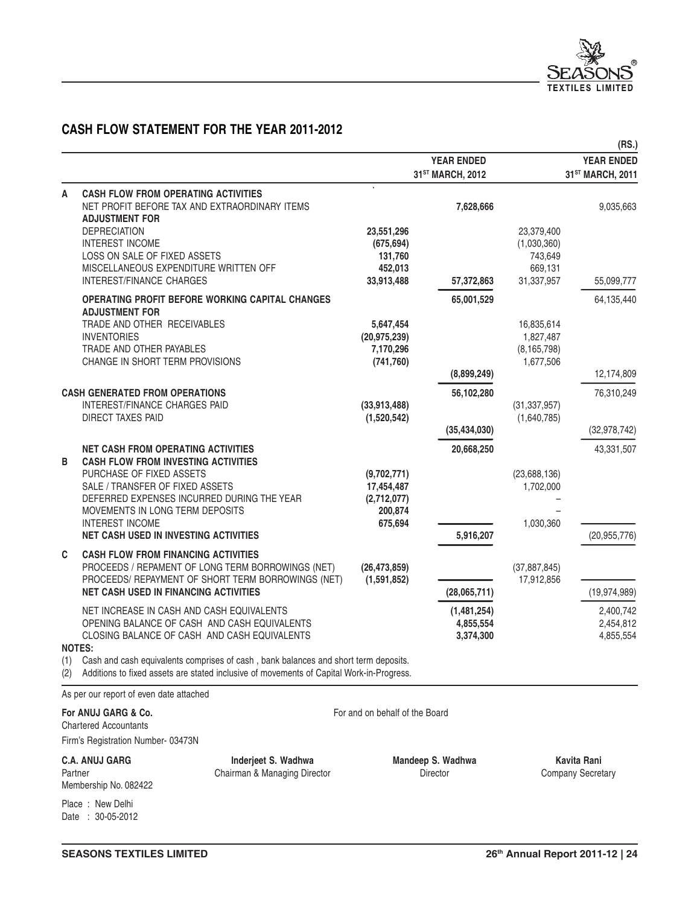

# **CASH FLOW STATEMENT FOR THE YEAR 2011-2012**

|            |                                                                                                                                                                                 |                             |                                                   |                           | (RS.)                                             |
|------------|---------------------------------------------------------------------------------------------------------------------------------------------------------------------------------|-----------------------------|---------------------------------------------------|---------------------------|---------------------------------------------------|
|            |                                                                                                                                                                                 |                             | <b>YEAR ENDED</b><br>31 <sup>ST</sup> MARCH, 2012 |                           | <b>YEAR ENDED</b><br>31 <sup>ST</sup> MARCH, 2011 |
| A          | <b>CASH FLOW FROM OPERATING ACTIVITIES</b>                                                                                                                                      |                             |                                                   |                           |                                                   |
|            | NET PROFIT BEFORE TAX AND EXTRAORDINARY ITEMS<br><b>ADJUSTMENT FOR</b>                                                                                                          |                             | 7,628,666                                         |                           | 9,035,663                                         |
|            | <b>DEPRECIATION</b><br><b>INTEREST INCOME</b>                                                                                                                                   | 23,551,296<br>(675, 694)    |                                                   | 23,379,400<br>(1,030,360) |                                                   |
|            | LOSS ON SALE OF FIXED ASSETS                                                                                                                                                    | 131,760                     |                                                   | 743,649                   |                                                   |
|            | MISCELLANEOUS EXPENDITURE WRITTEN OFF<br>INTEREST/FINANCE CHARGES                                                                                                               | 452,013<br>33,913,488       | 57,372,863                                        | 669,131<br>31,337,957     | 55,099,777                                        |
|            | OPERATING PROFIT BEFORE WORKING CAPITAL CHANGES<br><b>ADJUSTMENT FOR</b>                                                                                                        |                             | 65,001,529                                        |                           | 64,135,440                                        |
|            | TRADE AND OTHER RECEIVABLES<br><b>INVENTORIES</b>                                                                                                                               | 5,647,454<br>(20, 975, 239) |                                                   | 16,835,614<br>1,827,487   |                                                   |
|            | TRADE AND OTHER PAYABLES                                                                                                                                                        | 7,170,296                   |                                                   | (8, 165, 798)             |                                                   |
|            | CHANGE IN SHORT TERM PROVISIONS                                                                                                                                                 | (741, 760)                  | (8,899,249)                                       | 1,677,506                 | 12,174,809                                        |
|            | <b>CASH GENERATED FROM OPERATIONS</b>                                                                                                                                           |                             | 56,102,280                                        |                           | 76,310,249                                        |
|            | INTEREST/FINANCE CHARGES PAID                                                                                                                                                   | (33,913,488)                |                                                   | (31, 337, 957)            |                                                   |
|            | <b>DIRECT TAXES PAID</b>                                                                                                                                                        | (1,520,542)                 | (35, 434, 030)                                    | (1,640,785)               | (32, 978, 742)                                    |
|            | <b>NET CASH FROM OPERATING ACTIVITIES</b>                                                                                                                                       |                             | 20,668,250                                        |                           | 43,331,507                                        |
| B          | <b>CASH FLOW FROM INVESTING ACTIVITIES</b>                                                                                                                                      |                             |                                                   |                           |                                                   |
|            | PURCHASE OF FIXED ASSETS                                                                                                                                                        | (9,702,771)                 |                                                   | (23, 688, 136)            |                                                   |
|            | SALE / TRANSFER OF FIXED ASSETS<br>DEFERRED EXPENSES INCURRED DURING THE YEAR                                                                                                   | 17,454,487<br>(2,712,077)   |                                                   | 1,702,000                 |                                                   |
|            | MOVEMENTS IN LONG TERM DEPOSITS                                                                                                                                                 | 200,874                     |                                                   |                           |                                                   |
|            | <b>INTEREST INCOME</b><br><b>NET CASH USED IN INVESTING ACTIVITIES</b>                                                                                                          | 675,694                     | 5,916,207                                         | 1,030,360                 | (20, 955, 776)                                    |
| C          | <b>CASH FLOW FROM FINANCING ACTIVITIES</b>                                                                                                                                      |                             |                                                   |                           |                                                   |
|            | PROCEEDS / REPAMENT OF LONG TERM BORROWINGS (NET)                                                                                                                               | (26, 473, 859)              |                                                   | (37, 887, 845)            |                                                   |
|            | PROCEEDS/ REPAYMENT OF SHORT TERM BORROWINGS (NET)                                                                                                                              | (1,591,852)                 |                                                   | 17,912,856                |                                                   |
|            | <b>NET CASH USED IN FINANCING ACTIVITIES</b>                                                                                                                                    |                             | (28,065,711)                                      |                           | (19, 974, 989)                                    |
|            | NET INCREASE IN CASH AND CASH EQUIVALENTS<br>OPENING BALANCE OF CASH AND CASH EQUIVALENTS                                                                                       |                             | (1,481,254)<br>4,855,554                          |                           | 2,400,742<br>2,454,812                            |
|            | CLOSING BALANCE OF CASH AND CASH EQUIVALENTS                                                                                                                                    |                             | 3,374,300                                         |                           | 4,855,554                                         |
|            | <b>NOTES:</b>                                                                                                                                                                   |                             |                                                   |                           |                                                   |
| (1)<br>(2) | Cash and cash equivalents comprises of cash, bank balances and short term deposits.<br>Additions to fixed assets are stated inclusive of movements of Capital Work-in-Progress. |                             |                                                   |                           |                                                   |

As per our report of even date attached

**For ANUJ GARG & Co.** For and on behalf of the Board

Chartered Accountants Firm's Registration Number- 03473N

**C.A. ANUJ GARG CO.A. ANUJ GARG Inderjeet S. Wadhwa Mandeep S. Wadhwa Kavita Rani**<br>Partner Company Secret Company Secret Partner **Chairman & Managing Director Chairman & Managing Director Director Director** Company Secretary

Membership No. 082422

Place : New Delhi Date : 30-05-2012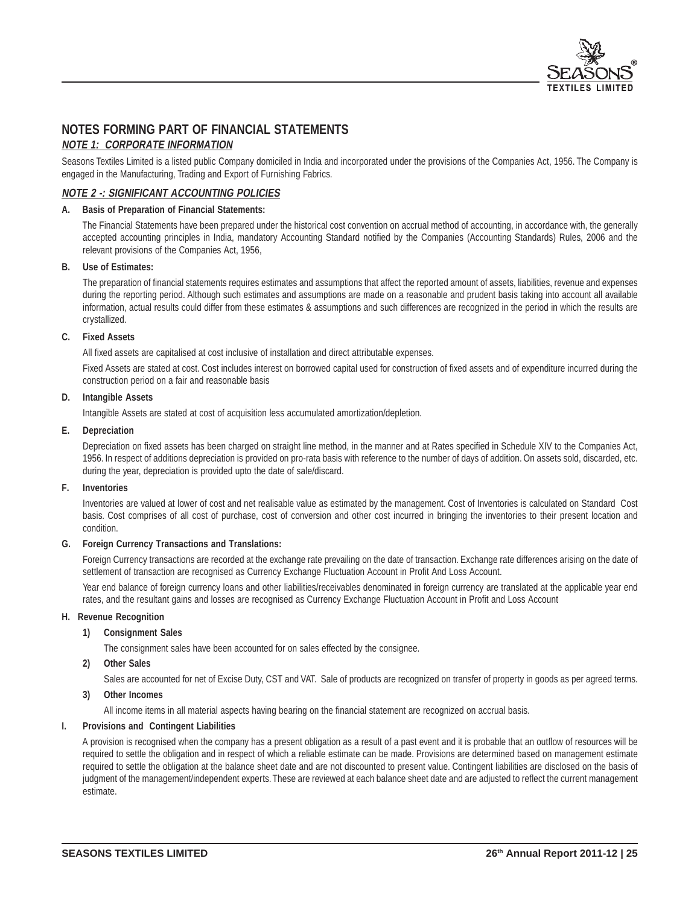

# **NOTES FORMING PART OF FINANCIAL STATEMENTS**

### **NOTE 1: CORPORATE INFORMATION**

Seasons Textiles Limited is a listed public Company domiciled in India and incorporated under the provisions of the Companies Act, 1956. The Company is engaged in the Manufacturing, Trading and Export of Furnishing Fabrics.

### **NOTE 2 -: SIGNIFICANT ACCOUNTING POLICIES**

#### **A. Basis of Preparation of Financial Statements:**

The Financial Statements have been prepared under the historical cost convention on accrual method of accounting, in accordance with, the generally accepted accounting principles in India, mandatory Accounting Standard notified by the Companies (Accounting Standards) Rules, 2006 and the relevant provisions of the Companies Act, 1956,

#### **B. Use of Estimates:**

The preparation of financial statements requires estimates and assumptions that affect the reported amount of assets, liabilities, revenue and expenses during the reporting period. Although such estimates and assumptions are made on a reasonable and prudent basis taking into account all available information, actual results could differ from these estimates & assumptions and such differences are recognized in the period in which the results are crystallized.

#### **C. Fixed Assets**

All fixed assets are capitalised at cost inclusive of installation and direct attributable expenses.

Fixed Assets are stated at cost. Cost includes interest on borrowed capital used for construction of fixed assets and of expenditure incurred during the construction period on a fair and reasonable basis

#### **D. Intangible Assets**

Intangible Assets are stated at cost of acquisition less accumulated amortization/depletion.

#### **E. Depreciation**

Depreciation on fixed assets has been charged on straight line method, in the manner and at Rates specified in Schedule XIV to the Companies Act, 1956. In respect of additions depreciation is provided on pro-rata basis with reference to the number of days of addition. On assets sold, discarded, etc. during the year, depreciation is provided upto the date of sale/discard.

#### **F. Inventories**

Inventories are valued at lower of cost and net realisable value as estimated by the management. Cost of Inventories is calculated on Standard Cost basis. Cost comprises of all cost of purchase, cost of conversion and other cost incurred in bringing the inventories to their present location and condition.

#### **G. Foreign Currency Transactions and Translations:**

Foreign Currency transactions are recorded at the exchange rate prevailing on the date of transaction. Exchange rate differences arising on the date of settlement of transaction are recognised as Currency Exchange Fluctuation Account in Profit And Loss Account.

Year end balance of foreign currency loans and other liabilities/receivables denominated in foreign currency are translated at the applicable year end rates, and the resultant gains and losses are recognised as Currency Exchange Fluctuation Account in Profit and Loss Account

#### **H. Revenue Recognition**

#### **1) Consignment Sales**

The consignment sales have been accounted for on sales effected by the consignee.

#### **2) Other Sales**

Sales are accounted for net of Excise Duty, CST and VAT. Sale of products are recognized on transfer of property in goods as per agreed terms.

#### **3) Other Incomes**

All income items in all material aspects having bearing on the financial statement are recognized on accrual basis.

#### **I. Provisions and Contingent Liabilities**

A provision is recognised when the company has a present obligation as a result of a past event and it is probable that an outflow of resources will be required to settle the obligation and in respect of which a reliable estimate can be made. Provisions are determined based on management estimate required to settle the obligation at the balance sheet date and are not discounted to present value. Contingent liabilities are disclosed on the basis of judgment of the management/independent experts. These are reviewed at each balance sheet date and are adjusted to reflect the current management estimate.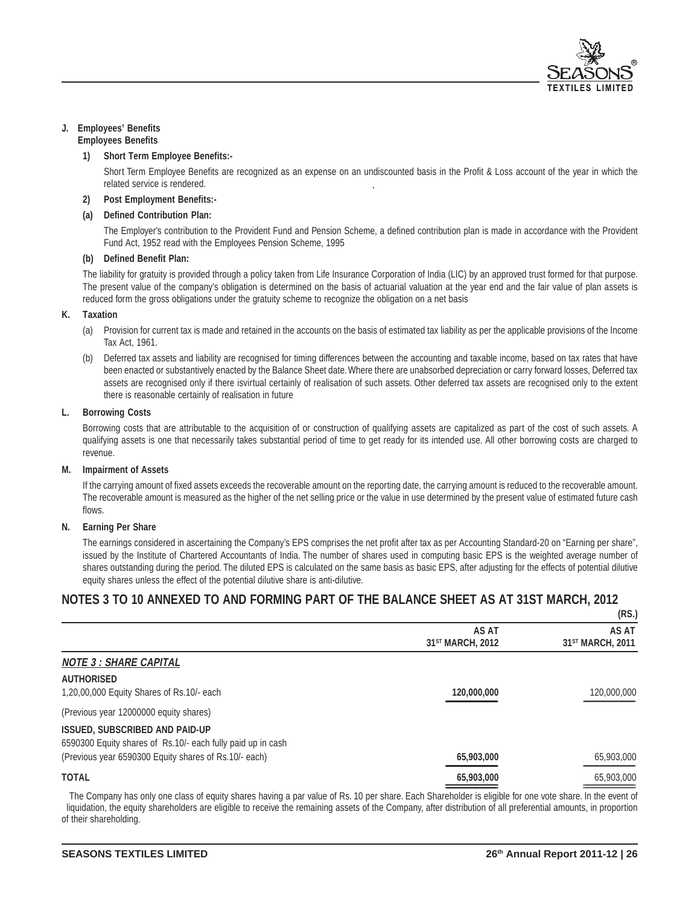

#### **J. Employees' Benefits Employees Benefits**

#### **1) Short Term Employee Benefits:-**

Short Term Employee Benefits are recognized as an expense on an undiscounted basis in the Profit & Loss account of the year in which the related service is rendered.

#### **2) Post Employment Benefits:-**

#### **(a) Defined Contribution Plan:**

The Employer's contribution to the Provident Fund and Pension Scheme, a defined contribution plan is made in accordance with the Provident Fund Act, 1952 read with the Employees Pension Scheme, 1995

#### **(b) Defined Benefit Plan:**

The liability for gratuity is provided through a policy taken from Life Insurance Corporation of India (LIC) by an approved trust formed for that purpose. The present value of the company's obligation is determined on the basis of actuarial valuation at the year end and the fair value of plan assets is reduced form the gross obligations under the gratuity scheme to recognize the obligation on a net basis

#### **K. Taxation**

- (a) Provision for current tax is made and retained in the accounts on the basis of estimated tax liability as per the applicable provisions of the Income Tax Act, 1961.
- Deferred tax assets and liability are recognised for timing differences between the accounting and taxable income, based on tax rates that have been enacted or substantively enacted by the Balance Sheet date. Where there are unabsorbed depreciation or carry forward losses, Deferred tax assets are recognised only if there isvirtual certainly of realisation of such assets. Other deferred tax assets are recognised only to the extent there is reasonable certainly of realisation in future

#### **L. Borrowing Costs**

Borrowing costs that are attributable to the acquisition of or construction of qualifying assets are capitalized as part of the cost of such assets. A qualifying assets is one that necessarily takes substantial period of time to get ready for its intended use. All other borrowing costs are charged to revenue.

#### **M. Impairment of Assets**

If the carrying amount of fixed assets exceeds the recoverable amount on the reporting date, the carrying amount is reduced to the recoverable amount. The recoverable amount is measured as the higher of the net selling price or the value in use determined by the present value of estimated future cash flows.

#### **N. Earning Per Share**

The earnings considered in ascertaining the Company's EPS comprises the net profit after tax as per Accounting Standard-20 on "Earning per share", issued by the Institute of Chartered Accountants of India. The number of shares used in computing basic EPS is the weighted average number of shares outstanding during the period. The diluted EPS is calculated on the same basis as basic EPS, after adjusting for the effects of potential dilutive equity shares unless the effect of the potential dilutive share is anti-dilutive.

## **NOTES 3 TO 10 ANNEXED TO AND FORMING PART OF THE BALANCE SHEET AS AT 31ST MARCH, 2012**

|                                                                                                      |                                       | (RS.)                                 |
|------------------------------------------------------------------------------------------------------|---------------------------------------|---------------------------------------|
|                                                                                                      | AS AT<br>31 <sup>ST</sup> MARCH, 2012 | AS AT<br>31 <sup>ST</sup> MARCH, 2011 |
| <b>NOTE 3 : SHARE CAPITAL</b>                                                                        |                                       |                                       |
| <b>AUTHORISED</b><br>1,20,00,000 Equity Shares of Rs.10/- each                                       | 120,000,000                           | 120,000,000                           |
| (Previous year 12000000 equity shares)                                                               |                                       |                                       |
| <b>ISSUED, SUBSCRIBED AND PAID-UP</b><br>6590300 Equity shares of Rs.10/- each fully paid up in cash |                                       |                                       |
| (Previous year 6590300 Equity shares of Rs.10/- each)                                                | 65,903,000                            | 65,903,000                            |
| <b>TOTAL</b>                                                                                         | 65,903,000                            | 65,903,000                            |

The Company has only one class of equity shares having a par value of Rs. 10 per share. Each Shareholder is eligible for one vote share. In the event of liquidation, the equity shareholders are eligible to receive the remaining assets of the Company, after distribution of all preferential amounts, in proportion of their shareholding.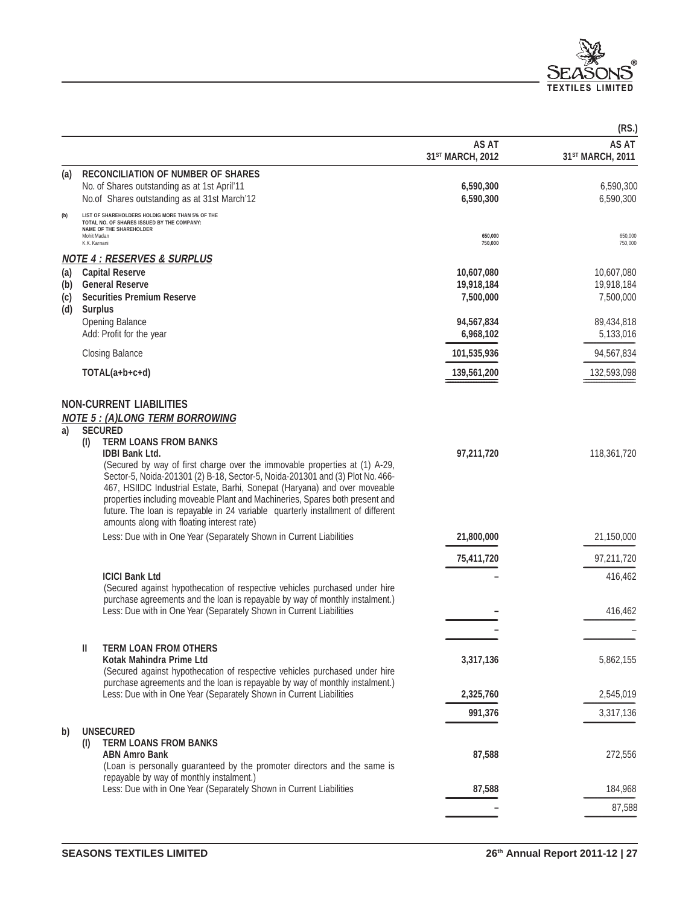

|                          |                                                                                                                                                                                                                                                                                                                                                                                                                                                                                                                                                                                                                         |                                              | (RS.)                                 |
|--------------------------|-------------------------------------------------------------------------------------------------------------------------------------------------------------------------------------------------------------------------------------------------------------------------------------------------------------------------------------------------------------------------------------------------------------------------------------------------------------------------------------------------------------------------------------------------------------------------------------------------------------------------|----------------------------------------------|---------------------------------------|
|                          |                                                                                                                                                                                                                                                                                                                                                                                                                                                                                                                                                                                                                         | <b>AS AT</b><br>31 <sup>ST</sup> MARCH, 2012 | AS AT<br>31 <sup>ST</sup> MARCH, 2011 |
| (a)                      | <b>RECONCILIATION OF NUMBER OF SHARES</b><br>No. of Shares outstanding as at 1st April'11<br>No.of Shares outstanding as at 31st March'12                                                                                                                                                                                                                                                                                                                                                                                                                                                                               | 6,590,300<br>6,590,300                       | 6,590,300<br>6,590,300                |
| (b)                      | LIST OF SHAREHOLDERS HOLDIG MORE THAN 5% OF THE<br>TOTAL NO. OF SHARES ISSUED BY THE COMPANY:<br>NAME OF THE SHAREHOLDER<br>Mohit Madan<br>K.K. Karnani                                                                                                                                                                                                                                                                                                                                                                                                                                                                 | 650,000<br>750,000                           | 650,000<br>750,000                    |
|                          | <b>NOTE 4: RESERVES &amp; SURPLUS</b>                                                                                                                                                                                                                                                                                                                                                                                                                                                                                                                                                                                   |                                              |                                       |
| (a)<br>(b)<br>(c)<br>(d) | <b>Capital Reserve</b><br><b>General Reserve</b><br><b>Securities Premium Reserve</b><br><b>Surplus</b>                                                                                                                                                                                                                                                                                                                                                                                                                                                                                                                 | 10,607,080<br>19,918,184<br>7,500,000        | 10,607,080<br>19,918,184<br>7,500,000 |
|                          | <b>Opening Balance</b><br>Add: Profit for the year                                                                                                                                                                                                                                                                                                                                                                                                                                                                                                                                                                      | 94,567,834<br>6,968,102                      | 89,434,818<br>5,133,016               |
|                          | <b>Closing Balance</b>                                                                                                                                                                                                                                                                                                                                                                                                                                                                                                                                                                                                  | 101,535,936                                  | 94,567,834                            |
|                          | TOTAL(a+b+c+d)                                                                                                                                                                                                                                                                                                                                                                                                                                                                                                                                                                                                          | 139,561,200                                  | 132,593,098                           |
| a)                       | <b>NON-CURRENT LIABILITIES</b><br><b>NOTE 5 : (A)LONG TERM BORROWING</b><br><b>SECURED</b><br><b>TERM LOANS FROM BANKS</b><br>(1)<br><b>IDBI Bank Ltd.</b><br>(Secured by way of first charge over the immovable properties at (1) A-29,<br>Sector-5, Noida-201301 (2) B-18, Sector-5, Noida-201301 and (3) Plot No. 466-<br>467, HSIIDC Industrial Estate, Barhi, Sonepat (Haryana) and over moveable<br>properties including moveable Plant and Machineries, Spares both present and<br>future. The loan is repayable in 24 variable quarterly installment of different<br>amounts along with floating interest rate) | 97,211,720                                   | 118,361,720                           |
|                          | Less: Due with in One Year (Separately Shown in Current Liabilities                                                                                                                                                                                                                                                                                                                                                                                                                                                                                                                                                     | 21,800,000                                   | 21,150,000                            |
|                          |                                                                                                                                                                                                                                                                                                                                                                                                                                                                                                                                                                                                                         | 75,411,720                                   | 97,211,720                            |
|                          | <b>ICICI Bank Ltd</b><br>(Secured against hypothecation of respective vehicles purchased under hire<br>purchase agreements and the loan is repayable by way of monthly instalment.)<br>Less: Due with in One Year (Separately Shown in Current Liabilities                                                                                                                                                                                                                                                                                                                                                              |                                              | 416,462<br>416,462                    |
|                          |                                                                                                                                                                                                                                                                                                                                                                                                                                                                                                                                                                                                                         |                                              |                                       |
|                          | <b>TERM LOAN FROM OTHERS</b><br>Ш<br>Kotak Mahindra Prime Ltd<br>(Secured against hypothecation of respective vehicles purchased under hire<br>purchase agreements and the loan is repayable by way of monthly instalment.)                                                                                                                                                                                                                                                                                                                                                                                             | 3,317,136                                    | 5,862,155                             |
|                          | Less: Due with in One Year (Separately Shown in Current Liabilities                                                                                                                                                                                                                                                                                                                                                                                                                                                                                                                                                     | 2,325,760                                    | 2,545,019                             |
|                          |                                                                                                                                                                                                                                                                                                                                                                                                                                                                                                                                                                                                                         | 991,376                                      | 3,317,136                             |
| b)                       | <b>UNSECURED</b><br><b>TERM LOANS FROM BANKS</b><br>(1)<br><b>ABN Amro Bank</b><br>(Loan is personally guaranteed by the promoter directors and the same is<br>repayable by way of monthly instalment.)                                                                                                                                                                                                                                                                                                                                                                                                                 | 87,588                                       | 272,556                               |
|                          | Less: Due with in One Year (Separately Shown in Current Liabilities                                                                                                                                                                                                                                                                                                                                                                                                                                                                                                                                                     | 87,588                                       | 184,968                               |
|                          |                                                                                                                                                                                                                                                                                                                                                                                                                                                                                                                                                                                                                         |                                              | 87,588                                |
|                          |                                                                                                                                                                                                                                                                                                                                                                                                                                                                                                                                                                                                                         |                                              |                                       |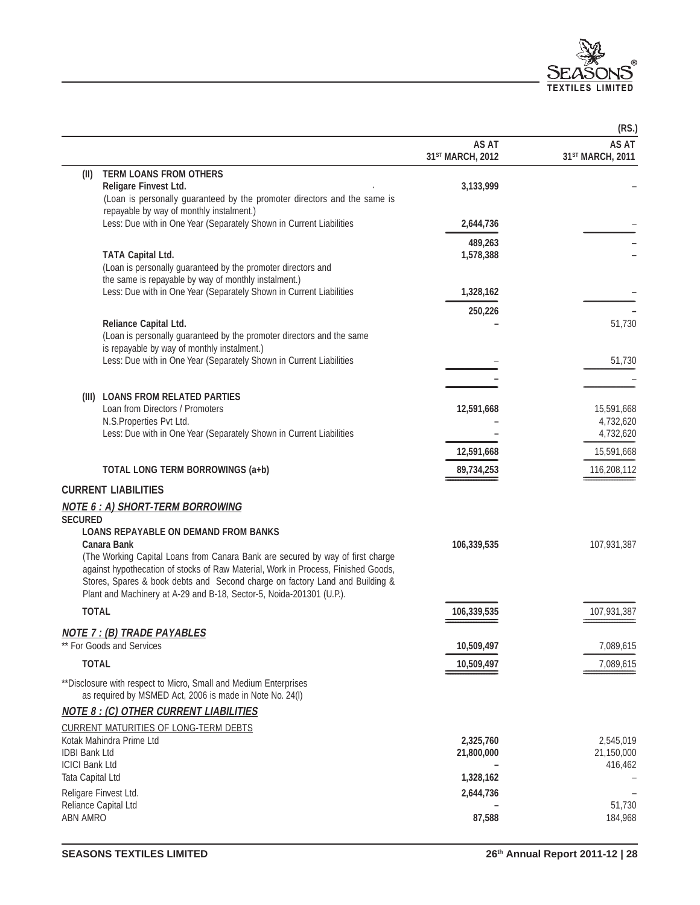

| AS AT<br>AS AT<br>31 <sup>ST</sup> MARCH, 2012<br>31 <sup>ST</sup> MARCH, 2011<br><b>TERM LOANS FROM OTHERS</b><br>(II)<br>Religare Finvest Ltd.<br>3,133,999<br>(Loan is personally guaranteed by the promoter directors and the same is<br>repayable by way of monthly instalment.)<br>Less: Due with in One Year (Separately Shown in Current Liabilities<br>2,644,736<br>489,263<br><b>TATA Capital Ltd.</b><br>1,578,388<br>(Loan is personally guaranteed by the promoter directors and<br>the same is repayable by way of monthly instalment.)<br>Less: Due with in One Year (Separately Shown in Current Liabilities<br>1,328,162<br>250,226<br>Reliance Capital Ltd.<br>51,730<br>(Loan is personally guaranteed by the promoter directors and the same<br>is repayable by way of monthly instalment.)<br>Less: Due with in One Year (Separately Shown in Current Liabilities<br>51,730<br>(III) LOANS FROM RELATED PARTIES<br>Loan from Directors / Promoters<br>12,591,668<br>15,591,668<br>N.S.Properties Pvt Ltd.<br>4,732,620<br>Less: Due with in One Year (Separately Shown in Current Liabilities<br>4,732,620<br>15,591,668<br>12,591,668<br><b>TOTAL LONG TERM BORROWINGS (a+b)</b><br>89,734,253<br>116,208,112<br><b>CURRENT LIABILITIES</b><br><b>LOANS REPAYABLE ON DEMAND FROM BANKS</b><br><b>Canara Bank</b><br>106,339,535<br>107,931,387<br>(The Working Capital Loans from Canara Bank are secured by way of first charge<br>against hypothecation of stocks of Raw Material, Work in Process, Finished Goods,<br>Stores, Spares & book debts and Second charge on factory Land and Building &<br>Plant and Machinery at A-29 and B-18, Sector-5, Noida-201301 (U.P.).<br><b>TOTAL</b><br>107,931,387<br>106,339,535<br>7,089,615<br>10,509,497<br><b>TOTAL</b><br>10,509,497<br>7,089,615<br>** Disclosure with respect to Micro, Small and Medium Enterprises<br>as required by MSMED Act, 2006 is made in Note No. 24(I)<br><b>NOTE 8 : (C) OTHER CURRENT LIABILITIES</b><br><b>CURRENT MATURITIES OF LONG-TERM DEBTS</b><br>Kotak Mahindra Prime Ltd<br>2,325,760<br>2,545,019<br><b>IDBI Bank Ltd</b><br>21,800,000<br>21,150,000<br><b>ICICI Bank Ltd</b><br>416,462<br>Tata Capital Ltd<br>1,328,162<br>Religare Finvest Ltd.<br>2,644,736<br>Reliance Capital Ltd<br>51,730 |                                         |        | (RS.)   |
|------------------------------------------------------------------------------------------------------------------------------------------------------------------------------------------------------------------------------------------------------------------------------------------------------------------------------------------------------------------------------------------------------------------------------------------------------------------------------------------------------------------------------------------------------------------------------------------------------------------------------------------------------------------------------------------------------------------------------------------------------------------------------------------------------------------------------------------------------------------------------------------------------------------------------------------------------------------------------------------------------------------------------------------------------------------------------------------------------------------------------------------------------------------------------------------------------------------------------------------------------------------------------------------------------------------------------------------------------------------------------------------------------------------------------------------------------------------------------------------------------------------------------------------------------------------------------------------------------------------------------------------------------------------------------------------------------------------------------------------------------------------------------------------------------------------------------------------------------------------------------------------------------------------------------------------------------------------------------------------------------------------------------------------------------------------------------------------------------------------------------------------------------------------------------------------------------------------------------------------------------------------------------------------------------------------|-----------------------------------------|--------|---------|
|                                                                                                                                                                                                                                                                                                                                                                                                                                                                                                                                                                                                                                                                                                                                                                                                                                                                                                                                                                                                                                                                                                                                                                                                                                                                                                                                                                                                                                                                                                                                                                                                                                                                                                                                                                                                                                                                                                                                                                                                                                                                                                                                                                                                                                                                                                                  |                                         |        |         |
|                                                                                                                                                                                                                                                                                                                                                                                                                                                                                                                                                                                                                                                                                                                                                                                                                                                                                                                                                                                                                                                                                                                                                                                                                                                                                                                                                                                                                                                                                                                                                                                                                                                                                                                                                                                                                                                                                                                                                                                                                                                                                                                                                                                                                                                                                                                  |                                         |        |         |
|                                                                                                                                                                                                                                                                                                                                                                                                                                                                                                                                                                                                                                                                                                                                                                                                                                                                                                                                                                                                                                                                                                                                                                                                                                                                                                                                                                                                                                                                                                                                                                                                                                                                                                                                                                                                                                                                                                                                                                                                                                                                                                                                                                                                                                                                                                                  |                                         |        |         |
|                                                                                                                                                                                                                                                                                                                                                                                                                                                                                                                                                                                                                                                                                                                                                                                                                                                                                                                                                                                                                                                                                                                                                                                                                                                                                                                                                                                                                                                                                                                                                                                                                                                                                                                                                                                                                                                                                                                                                                                                                                                                                                                                                                                                                                                                                                                  |                                         |        |         |
|                                                                                                                                                                                                                                                                                                                                                                                                                                                                                                                                                                                                                                                                                                                                                                                                                                                                                                                                                                                                                                                                                                                                                                                                                                                                                                                                                                                                                                                                                                                                                                                                                                                                                                                                                                                                                                                                                                                                                                                                                                                                                                                                                                                                                                                                                                                  |                                         |        |         |
|                                                                                                                                                                                                                                                                                                                                                                                                                                                                                                                                                                                                                                                                                                                                                                                                                                                                                                                                                                                                                                                                                                                                                                                                                                                                                                                                                                                                                                                                                                                                                                                                                                                                                                                                                                                                                                                                                                                                                                                                                                                                                                                                                                                                                                                                                                                  |                                         |        |         |
|                                                                                                                                                                                                                                                                                                                                                                                                                                                                                                                                                                                                                                                                                                                                                                                                                                                                                                                                                                                                                                                                                                                                                                                                                                                                                                                                                                                                                                                                                                                                                                                                                                                                                                                                                                                                                                                                                                                                                                                                                                                                                                                                                                                                                                                                                                                  |                                         |        |         |
|                                                                                                                                                                                                                                                                                                                                                                                                                                                                                                                                                                                                                                                                                                                                                                                                                                                                                                                                                                                                                                                                                                                                                                                                                                                                                                                                                                                                                                                                                                                                                                                                                                                                                                                                                                                                                                                                                                                                                                                                                                                                                                                                                                                                                                                                                                                  |                                         |        |         |
|                                                                                                                                                                                                                                                                                                                                                                                                                                                                                                                                                                                                                                                                                                                                                                                                                                                                                                                                                                                                                                                                                                                                                                                                                                                                                                                                                                                                                                                                                                                                                                                                                                                                                                                                                                                                                                                                                                                                                                                                                                                                                                                                                                                                                                                                                                                  |                                         |        |         |
|                                                                                                                                                                                                                                                                                                                                                                                                                                                                                                                                                                                                                                                                                                                                                                                                                                                                                                                                                                                                                                                                                                                                                                                                                                                                                                                                                                                                                                                                                                                                                                                                                                                                                                                                                                                                                                                                                                                                                                                                                                                                                                                                                                                                                                                                                                                  |                                         |        |         |
|                                                                                                                                                                                                                                                                                                                                                                                                                                                                                                                                                                                                                                                                                                                                                                                                                                                                                                                                                                                                                                                                                                                                                                                                                                                                                                                                                                                                                                                                                                                                                                                                                                                                                                                                                                                                                                                                                                                                                                                                                                                                                                                                                                                                                                                                                                                  |                                         |        |         |
|                                                                                                                                                                                                                                                                                                                                                                                                                                                                                                                                                                                                                                                                                                                                                                                                                                                                                                                                                                                                                                                                                                                                                                                                                                                                                                                                                                                                                                                                                                                                                                                                                                                                                                                                                                                                                                                                                                                                                                                                                                                                                                                                                                                                                                                                                                                  |                                         |        |         |
|                                                                                                                                                                                                                                                                                                                                                                                                                                                                                                                                                                                                                                                                                                                                                                                                                                                                                                                                                                                                                                                                                                                                                                                                                                                                                                                                                                                                                                                                                                                                                                                                                                                                                                                                                                                                                                                                                                                                                                                                                                                                                                                                                                                                                                                                                                                  |                                         |        |         |
|                                                                                                                                                                                                                                                                                                                                                                                                                                                                                                                                                                                                                                                                                                                                                                                                                                                                                                                                                                                                                                                                                                                                                                                                                                                                                                                                                                                                                                                                                                                                                                                                                                                                                                                                                                                                                                                                                                                                                                                                                                                                                                                                                                                                                                                                                                                  |                                         |        |         |
|                                                                                                                                                                                                                                                                                                                                                                                                                                                                                                                                                                                                                                                                                                                                                                                                                                                                                                                                                                                                                                                                                                                                                                                                                                                                                                                                                                                                                                                                                                                                                                                                                                                                                                                                                                                                                                                                                                                                                                                                                                                                                                                                                                                                                                                                                                                  |                                         |        |         |
|                                                                                                                                                                                                                                                                                                                                                                                                                                                                                                                                                                                                                                                                                                                                                                                                                                                                                                                                                                                                                                                                                                                                                                                                                                                                                                                                                                                                                                                                                                                                                                                                                                                                                                                                                                                                                                                                                                                                                                                                                                                                                                                                                                                                                                                                                                                  |                                         |        |         |
|                                                                                                                                                                                                                                                                                                                                                                                                                                                                                                                                                                                                                                                                                                                                                                                                                                                                                                                                                                                                                                                                                                                                                                                                                                                                                                                                                                                                                                                                                                                                                                                                                                                                                                                                                                                                                                                                                                                                                                                                                                                                                                                                                                                                                                                                                                                  |                                         |        |         |
|                                                                                                                                                                                                                                                                                                                                                                                                                                                                                                                                                                                                                                                                                                                                                                                                                                                                                                                                                                                                                                                                                                                                                                                                                                                                                                                                                                                                                                                                                                                                                                                                                                                                                                                                                                                                                                                                                                                                                                                                                                                                                                                                                                                                                                                                                                                  |                                         |        |         |
|                                                                                                                                                                                                                                                                                                                                                                                                                                                                                                                                                                                                                                                                                                                                                                                                                                                                                                                                                                                                                                                                                                                                                                                                                                                                                                                                                                                                                                                                                                                                                                                                                                                                                                                                                                                                                                                                                                                                                                                                                                                                                                                                                                                                                                                                                                                  |                                         |        |         |
|                                                                                                                                                                                                                                                                                                                                                                                                                                                                                                                                                                                                                                                                                                                                                                                                                                                                                                                                                                                                                                                                                                                                                                                                                                                                                                                                                                                                                                                                                                                                                                                                                                                                                                                                                                                                                                                                                                                                                                                                                                                                                                                                                                                                                                                                                                                  |                                         |        |         |
|                                                                                                                                                                                                                                                                                                                                                                                                                                                                                                                                                                                                                                                                                                                                                                                                                                                                                                                                                                                                                                                                                                                                                                                                                                                                                                                                                                                                                                                                                                                                                                                                                                                                                                                                                                                                                                                                                                                                                                                                                                                                                                                                                                                                                                                                                                                  |                                         |        |         |
|                                                                                                                                                                                                                                                                                                                                                                                                                                                                                                                                                                                                                                                                                                                                                                                                                                                                                                                                                                                                                                                                                                                                                                                                                                                                                                                                                                                                                                                                                                                                                                                                                                                                                                                                                                                                                                                                                                                                                                                                                                                                                                                                                                                                                                                                                                                  |                                         |        |         |
|                                                                                                                                                                                                                                                                                                                                                                                                                                                                                                                                                                                                                                                                                                                                                                                                                                                                                                                                                                                                                                                                                                                                                                                                                                                                                                                                                                                                                                                                                                                                                                                                                                                                                                                                                                                                                                                                                                                                                                                                                                                                                                                                                                                                                                                                                                                  |                                         |        |         |
|                                                                                                                                                                                                                                                                                                                                                                                                                                                                                                                                                                                                                                                                                                                                                                                                                                                                                                                                                                                                                                                                                                                                                                                                                                                                                                                                                                                                                                                                                                                                                                                                                                                                                                                                                                                                                                                                                                                                                                                                                                                                                                                                                                                                                                                                                                                  |                                         |        |         |
|                                                                                                                                                                                                                                                                                                                                                                                                                                                                                                                                                                                                                                                                                                                                                                                                                                                                                                                                                                                                                                                                                                                                                                                                                                                                                                                                                                                                                                                                                                                                                                                                                                                                                                                                                                                                                                                                                                                                                                                                                                                                                                                                                                                                                                                                                                                  |                                         |        |         |
|                                                                                                                                                                                                                                                                                                                                                                                                                                                                                                                                                                                                                                                                                                                                                                                                                                                                                                                                                                                                                                                                                                                                                                                                                                                                                                                                                                                                                                                                                                                                                                                                                                                                                                                                                                                                                                                                                                                                                                                                                                                                                                                                                                                                                                                                                                                  | <b>NOTE 6 : A) SHORT-TERM BORROWING</b> |        |         |
|                                                                                                                                                                                                                                                                                                                                                                                                                                                                                                                                                                                                                                                                                                                                                                                                                                                                                                                                                                                                                                                                                                                                                                                                                                                                                                                                                                                                                                                                                                                                                                                                                                                                                                                                                                                                                                                                                                                                                                                                                                                                                                                                                                                                                                                                                                                  | <b>SECURED</b>                          |        |         |
|                                                                                                                                                                                                                                                                                                                                                                                                                                                                                                                                                                                                                                                                                                                                                                                                                                                                                                                                                                                                                                                                                                                                                                                                                                                                                                                                                                                                                                                                                                                                                                                                                                                                                                                                                                                                                                                                                                                                                                                                                                                                                                                                                                                                                                                                                                                  |                                         |        |         |
|                                                                                                                                                                                                                                                                                                                                                                                                                                                                                                                                                                                                                                                                                                                                                                                                                                                                                                                                                                                                                                                                                                                                                                                                                                                                                                                                                                                                                                                                                                                                                                                                                                                                                                                                                                                                                                                                                                                                                                                                                                                                                                                                                                                                                                                                                                                  |                                         |        |         |
|                                                                                                                                                                                                                                                                                                                                                                                                                                                                                                                                                                                                                                                                                                                                                                                                                                                                                                                                                                                                                                                                                                                                                                                                                                                                                                                                                                                                                                                                                                                                                                                                                                                                                                                                                                                                                                                                                                                                                                                                                                                                                                                                                                                                                                                                                                                  |                                         |        |         |
|                                                                                                                                                                                                                                                                                                                                                                                                                                                                                                                                                                                                                                                                                                                                                                                                                                                                                                                                                                                                                                                                                                                                                                                                                                                                                                                                                                                                                                                                                                                                                                                                                                                                                                                                                                                                                                                                                                                                                                                                                                                                                                                                                                                                                                                                                                                  |                                         |        |         |
|                                                                                                                                                                                                                                                                                                                                                                                                                                                                                                                                                                                                                                                                                                                                                                                                                                                                                                                                                                                                                                                                                                                                                                                                                                                                                                                                                                                                                                                                                                                                                                                                                                                                                                                                                                                                                                                                                                                                                                                                                                                                                                                                                                                                                                                                                                                  |                                         |        |         |
|                                                                                                                                                                                                                                                                                                                                                                                                                                                                                                                                                                                                                                                                                                                                                                                                                                                                                                                                                                                                                                                                                                                                                                                                                                                                                                                                                                                                                                                                                                                                                                                                                                                                                                                                                                                                                                                                                                                                                                                                                                                                                                                                                                                                                                                                                                                  |                                         |        |         |
|                                                                                                                                                                                                                                                                                                                                                                                                                                                                                                                                                                                                                                                                                                                                                                                                                                                                                                                                                                                                                                                                                                                                                                                                                                                                                                                                                                                                                                                                                                                                                                                                                                                                                                                                                                                                                                                                                                                                                                                                                                                                                                                                                                                                                                                                                                                  |                                         |        |         |
|                                                                                                                                                                                                                                                                                                                                                                                                                                                                                                                                                                                                                                                                                                                                                                                                                                                                                                                                                                                                                                                                                                                                                                                                                                                                                                                                                                                                                                                                                                                                                                                                                                                                                                                                                                                                                                                                                                                                                                                                                                                                                                                                                                                                                                                                                                                  | <u>NOTE 7 : (B) TRADE PAYABLES</u>      |        |         |
|                                                                                                                                                                                                                                                                                                                                                                                                                                                                                                                                                                                                                                                                                                                                                                                                                                                                                                                                                                                                                                                                                                                                                                                                                                                                                                                                                                                                                                                                                                                                                                                                                                                                                                                                                                                                                                                                                                                                                                                                                                                                                                                                                                                                                                                                                                                  | ** For Goods and Services               |        |         |
|                                                                                                                                                                                                                                                                                                                                                                                                                                                                                                                                                                                                                                                                                                                                                                                                                                                                                                                                                                                                                                                                                                                                                                                                                                                                                                                                                                                                                                                                                                                                                                                                                                                                                                                                                                                                                                                                                                                                                                                                                                                                                                                                                                                                                                                                                                                  |                                         |        |         |
|                                                                                                                                                                                                                                                                                                                                                                                                                                                                                                                                                                                                                                                                                                                                                                                                                                                                                                                                                                                                                                                                                                                                                                                                                                                                                                                                                                                                                                                                                                                                                                                                                                                                                                                                                                                                                                                                                                                                                                                                                                                                                                                                                                                                                                                                                                                  |                                         |        |         |
|                                                                                                                                                                                                                                                                                                                                                                                                                                                                                                                                                                                                                                                                                                                                                                                                                                                                                                                                                                                                                                                                                                                                                                                                                                                                                                                                                                                                                                                                                                                                                                                                                                                                                                                                                                                                                                                                                                                                                                                                                                                                                                                                                                                                                                                                                                                  |                                         |        |         |
|                                                                                                                                                                                                                                                                                                                                                                                                                                                                                                                                                                                                                                                                                                                                                                                                                                                                                                                                                                                                                                                                                                                                                                                                                                                                                                                                                                                                                                                                                                                                                                                                                                                                                                                                                                                                                                                                                                                                                                                                                                                                                                                                                                                                                                                                                                                  |                                         |        |         |
|                                                                                                                                                                                                                                                                                                                                                                                                                                                                                                                                                                                                                                                                                                                                                                                                                                                                                                                                                                                                                                                                                                                                                                                                                                                                                                                                                                                                                                                                                                                                                                                                                                                                                                                                                                                                                                                                                                                                                                                                                                                                                                                                                                                                                                                                                                                  |                                         |        |         |
|                                                                                                                                                                                                                                                                                                                                                                                                                                                                                                                                                                                                                                                                                                                                                                                                                                                                                                                                                                                                                                                                                                                                                                                                                                                                                                                                                                                                                                                                                                                                                                                                                                                                                                                                                                                                                                                                                                                                                                                                                                                                                                                                                                                                                                                                                                                  |                                         |        |         |
|                                                                                                                                                                                                                                                                                                                                                                                                                                                                                                                                                                                                                                                                                                                                                                                                                                                                                                                                                                                                                                                                                                                                                                                                                                                                                                                                                                                                                                                                                                                                                                                                                                                                                                                                                                                                                                                                                                                                                                                                                                                                                                                                                                                                                                                                                                                  |                                         |        |         |
|                                                                                                                                                                                                                                                                                                                                                                                                                                                                                                                                                                                                                                                                                                                                                                                                                                                                                                                                                                                                                                                                                                                                                                                                                                                                                                                                                                                                                                                                                                                                                                                                                                                                                                                                                                                                                                                                                                                                                                                                                                                                                                                                                                                                                                                                                                                  |                                         |        |         |
|                                                                                                                                                                                                                                                                                                                                                                                                                                                                                                                                                                                                                                                                                                                                                                                                                                                                                                                                                                                                                                                                                                                                                                                                                                                                                                                                                                                                                                                                                                                                                                                                                                                                                                                                                                                                                                                                                                                                                                                                                                                                                                                                                                                                                                                                                                                  |                                         |        |         |
|                                                                                                                                                                                                                                                                                                                                                                                                                                                                                                                                                                                                                                                                                                                                                                                                                                                                                                                                                                                                                                                                                                                                                                                                                                                                                                                                                                                                                                                                                                                                                                                                                                                                                                                                                                                                                                                                                                                                                                                                                                                                                                                                                                                                                                                                                                                  |                                         |        |         |
|                                                                                                                                                                                                                                                                                                                                                                                                                                                                                                                                                                                                                                                                                                                                                                                                                                                                                                                                                                                                                                                                                                                                                                                                                                                                                                                                                                                                                                                                                                                                                                                                                                                                                                                                                                                                                                                                                                                                                                                                                                                                                                                                                                                                                                                                                                                  |                                         |        |         |
|                                                                                                                                                                                                                                                                                                                                                                                                                                                                                                                                                                                                                                                                                                                                                                                                                                                                                                                                                                                                                                                                                                                                                                                                                                                                                                                                                                                                                                                                                                                                                                                                                                                                                                                                                                                                                                                                                                                                                                                                                                                                                                                                                                                                                                                                                                                  | ABN AMRO                                | 87,588 | 184,968 |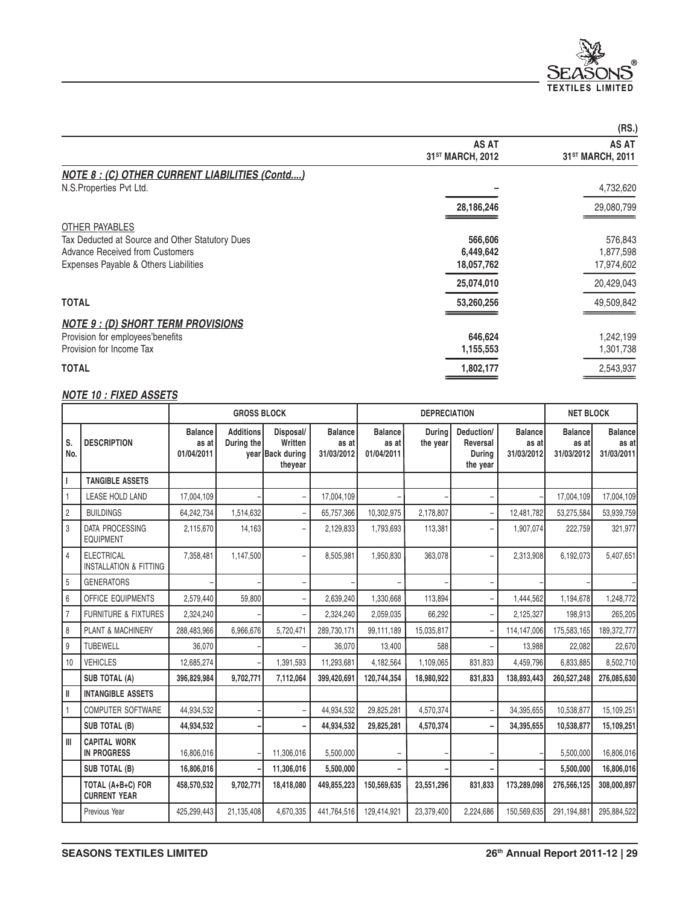

|                                                      |                                              | (RS.)                                        |
|------------------------------------------------------|----------------------------------------------|----------------------------------------------|
|                                                      | <b>AS AT</b><br>31 <sup>ST</sup> MARCH, 2012 | <b>AS AT</b><br>31 <sup>ST</sup> MARCH, 2011 |
| <b>NOTE 8: (C) OTHER CURRENT LIABILITIES (Contd)</b> |                                              |                                              |
| N.S.Properties Pvt Ltd.                              |                                              | 4,732,620                                    |
|                                                      | 28,186,246                                   | 29,080,799                                   |
| OTHER PAYABLES                                       |                                              |                                              |
| Tax Deducted at Source and Other Statutory Dues      | 566,606                                      | 576,843                                      |
| Advance Received from Customers                      | 6,449,642                                    | 1,877,598                                    |
| Expenses Payable & Others Liabilities                | 18,057,762                                   | 17,974,602                                   |
|                                                      | 25,074,010                                   | 20,429,043                                   |
| <b>TOTAL</b>                                         | 53,260,256                                   | 49,509,842                                   |
| <b>NOTE 9 : (D) SHORT TERM PROVISIONS</b>            |                                              |                                              |
| Provision for employees'benefits                     | 646,624                                      | 1,242,199                                    |
| Provision for Income Tax                             | 1,155,553                                    | 1,301,738                                    |
| <b>TOTAL</b>                                         | 1,802,177                                    | 2,543,937                                    |
|                                                      |                                              |                                              |

### **NOTE 10 : FIXED ASSETS**

|                |                                                        |                                       | <b>GROSS BLOCK</b>             |                                                     |                                       | <b>DEPRECIATION</b>                   |                    | <b>NET BLOCK</b>                             |                                       |                                       |                                       |
|----------------|--------------------------------------------------------|---------------------------------------|--------------------------------|-----------------------------------------------------|---------------------------------------|---------------------------------------|--------------------|----------------------------------------------|---------------------------------------|---------------------------------------|---------------------------------------|
| S.<br>No.      | <b>DESCRIPTION</b>                                     | <b>Balance</b><br>as at<br>01/04/2011 | <b>Additions</b><br>During the | Disposal/<br>Written<br>year Back during<br>theyear | <b>Balance</b><br>as at<br>31/03/2012 | <b>Balance</b><br>as at<br>01/04/2011 | During<br>the year | Deduction/<br>Reversal<br>Durina<br>the year | <b>Balance</b><br>as at<br>31/03/2012 | <b>Balance</b><br>as at<br>31/03/2012 | <b>Balance</b><br>as at<br>31/03/2011 |
|                | <b>TANGIBLE ASSETS</b>                                 |                                       |                                |                                                     |                                       |                                       |                    |                                              |                                       |                                       |                                       |
|                | LEASE HOLD LAND                                        | 17,004,109                            |                                |                                                     | 17,004,109                            |                                       |                    |                                              |                                       | 17,004,109                            | 17,004,109                            |
| $\overline{2}$ | <b>BUILDINGS</b>                                       | 64,242,734                            | 1,514,632                      |                                                     | 65,757,366                            | 10,302,975                            | 2,178,807          |                                              | 12.481.782                            | 53,275,584                            | 53,939,759                            |
| 3              | <b>DATA PROCESSING</b><br><b>EQUIPMENT</b>             | 2,115,670                             | 14,163                         | ۰                                                   | 2,129,833                             | 1,793,693                             | 113,381            | ۰                                            | 1,907,074                             | 222,759                               | 321,977                               |
| $\overline{4}$ | <b>ELECTRICAL</b><br><b>INSTALLATION &amp; FITTING</b> | 7,358,481                             | 1,147,500                      |                                                     | 8,505,981                             | 1,950,830                             | 363,078            | Ĭ.                                           | 2,313,908                             | 6,192,073                             | 5,407,651                             |
| 5              | <b>GENERATORS</b>                                      |                                       |                                |                                                     |                                       |                                       |                    |                                              |                                       |                                       |                                       |
| 6              | <b>OFFICE EQUIPMENTS</b>                               | 2,579,440                             | 59,800                         |                                                     | 2,639,240                             | 1,330,668                             | 113,894            |                                              | 1,444,562                             | 1,194,678                             | 1,248,772                             |
| $\overline{7}$ | <b>FURNITURE &amp; FIXTURES</b>                        | 2,324,240                             |                                |                                                     | 2,324,240                             | 2,059,035                             | 66,292             | Ĭ.                                           | 2,125,327                             | 198,913                               | 265,205                               |
| 8              | PLANT & MACHINERY                                      | 288,483,966                           | 6,966,676                      | 5,720,471                                           | 289,730,171                           | 99,111,189                            | 15,035,817         | L,                                           | 114,147,006                           | 175,583,165                           | 189,372,777                           |
| 9              | <b>TUBEWELL</b>                                        | 36,070                                |                                |                                                     | 36,070                                | 13,400                                | 588                | L.                                           | 13,988                                | 22,082                                | 22,670                                |
| 10             | <b>VEHICLES</b>                                        | 12,685,274                            |                                | 1,391,593                                           | 11,293,681                            | 4,182,564                             | 1,109,065          | 831,833                                      | 4,459,796                             | 6,833,885                             | 8,502,710                             |
|                | <b>SUB TOTAL (A)</b>                                   | 396,829,984                           | 9,702,771                      | 7,112,064                                           | 399.420.691                           | 120.744.354                           | 18.980.922         | 831.833                                      | 138,893,443                           | 260,527,248                           | 276.085.630                           |
| $\mathbf{I}$   | <b>INTANGIBLE ASSETS</b>                               |                                       |                                |                                                     |                                       |                                       |                    |                                              |                                       |                                       |                                       |
|                | <b>COMPUTER SOFTWARE</b>                               | 44,934,532                            |                                |                                                     | 44,934,532                            | 29,825,281                            | 4,570,374          |                                              | 34,395,655                            | 10,538,877                            | 15,109,251                            |
|                | <b>SUB TOTAL (B)</b>                                   | 44,934,532                            |                                |                                                     | 44,934,532                            | 29,825,281                            | 4.570.374          |                                              | 34.395.655                            | 10.538.877                            | 15,109,251                            |
| III            | <b>CAPITAL WORK</b><br><b>IN PROGRESS</b>              | 16.806.016                            |                                | 11,306,016                                          | 5,500,000                             |                                       |                    |                                              |                                       | 5,500,000                             | 16,806,016                            |
|                | <b>SUB TOTAL (B)</b>                                   | 16,806,016                            |                                | 11,306,016                                          | 5,500,000                             |                                       |                    |                                              |                                       | 5,500,000                             | 16,806,016                            |
|                | TOTAL (A+B+C) FOR<br><b>CURRENT YEAR</b>               | 458,570,532                           | 9,702,771                      | 18,418,080                                          | 449,855,223                           | 150,569,635                           | 23,551,296         | 831,833                                      | 173,289,098                           | 276,566,125                           | 308,000,897                           |
|                | Previous Year                                          | 425,299,443                           | 21,135,408                     | 4,670,335                                           | 441,764,516                           | 129,414,921                           | 23,379,400         | 2,224,686                                    | 150,569,635                           | 291,194,881                           | 295,884,522                           |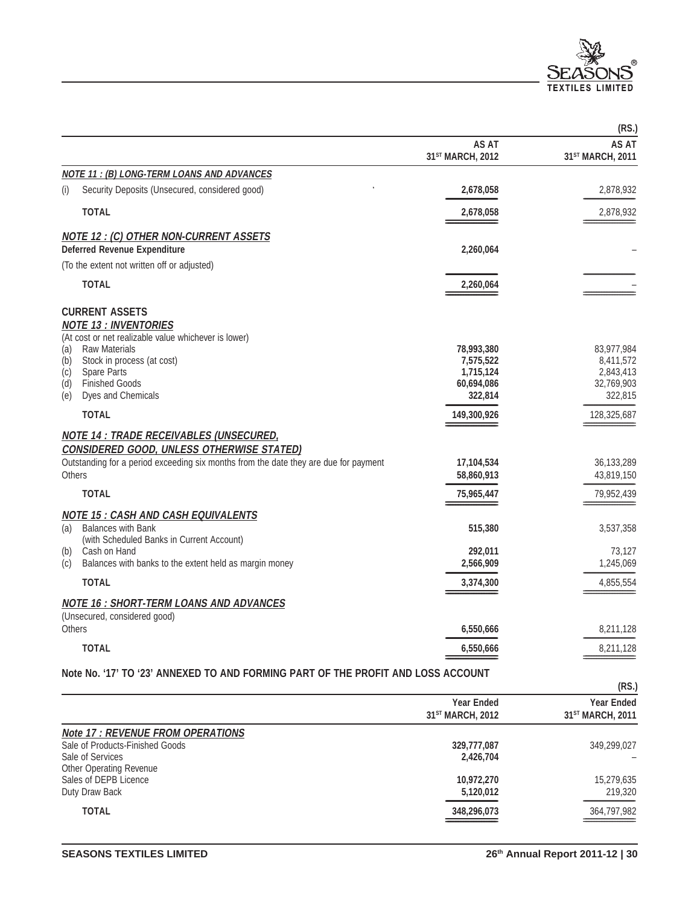

|               |                                                                                      |                                              | (RS.)                                 |
|---------------|--------------------------------------------------------------------------------------|----------------------------------------------|---------------------------------------|
|               |                                                                                      | <b>AS AT</b><br>31 <sup>ST</sup> MARCH, 2012 | AS AT<br>31 <sup>ST</sup> MARCH, 2011 |
|               | <b>NOTE 11: (B) LONG-TERM LOANS AND ADVANCES</b>                                     |                                              |                                       |
| (i)           | Security Deposits (Unsecured, considered good)                                       | 2,678,058                                    | 2,878,932                             |
|               | <b>TOTAL</b>                                                                         | 2,678,058                                    | 2,878,932                             |
|               | <b>NOTE 12 : (C) OTHER NON-CURRENT ASSETS</b>                                        |                                              |                                       |
|               | <b>Deferred Revenue Expenditure</b>                                                  | 2,260,064                                    |                                       |
|               | (To the extent not written off or adjusted)                                          |                                              |                                       |
|               | <b>TOTAL</b>                                                                         | 2,260,064                                    |                                       |
|               | <b>CURRENT ASSETS</b>                                                                |                                              |                                       |
|               | <b>NOTE 13 : INVENTORIES</b>                                                         |                                              |                                       |
| (a)           | (At cost or net realizable value whichever is lower)<br><b>Raw Materials</b>         | 78,993,380                                   | 83,977,984                            |
| (b)           | Stock in process (at cost)                                                           | 7,575,522                                    | 8,411,572                             |
| (c)           | Spare Parts                                                                          | 1,715,124                                    | 2,843,413                             |
| (d)           | <b>Finished Goods</b>                                                                | 60,694,086                                   | 32,769,903                            |
| (e)           | Dyes and Chemicals                                                                   | 322,814                                      | 322,815                               |
|               | <b>TOTAL</b>                                                                         | 149,300,926                                  | 128,325,687                           |
|               | <b>NOTE 14 : TRADE RECEIVABLES (UNSECURED,</b>                                       |                                              |                                       |
|               | <b>CONSIDERED GOOD, UNLESS OTHERWISE STATED)</b>                                     |                                              |                                       |
|               | Outstanding for a period exceeding six months from the date they are due for payment | 17,104,534                                   | 36,133,289                            |
| <b>Others</b> |                                                                                      | 58,860,913                                   | 43,819,150                            |
|               | <b>TOTAL</b>                                                                         | 75,965,447                                   | 79,952,439                            |
|               | <b>NOTE 15 : CASH AND CASH EQUIVALENTS</b>                                           |                                              |                                       |
| (a)           | <b>Balances with Bank</b>                                                            | 515,380                                      | 3,537,358                             |
|               | (with Scheduled Banks in Current Account)                                            |                                              |                                       |
| (b)           | Cash on Hand                                                                         | 292,011                                      | 73,127                                |
| (c)           | Balances with banks to the extent held as margin money                               | 2,566,909                                    | 1,245,069                             |
|               | <b>TOTAL</b>                                                                         | 3,374,300                                    | 4,855,554                             |
|               | <b>NOTE 16 : SHORT-TERM LOANS AND ADVANCES</b>                                       |                                              |                                       |
|               | (Unsecured, considered good)                                                         |                                              |                                       |
| <b>Others</b> |                                                                                      | 6,550,666                                    | 8,211,128                             |
|               | <b>TOTAL</b>                                                                         | 6,550,666                                    | 8,211,128                             |
|               | Note No. '17' TO '23' ANNEXED TO AND FORMING PART OF THE PROFIT AND LOSS ACCOUNT     |                                              |                                       |

|                                         |                                                   | (RS.)                                             |
|-----------------------------------------|---------------------------------------------------|---------------------------------------------------|
|                                         | <b>Year Ended</b><br>31 <sup>ST</sup> MARCH, 2012 | <b>Year Ended</b><br>31 <sup>ST</sup> MARCH, 2011 |
| <b>Note 17: REVENUE FROM OPERATIONS</b> |                                                   |                                                   |
| Sale of Products-Finished Goods         | 329,777,087                                       | 349,299,027                                       |
| Sale of Services                        | 2,426,704                                         |                                                   |
| Other Operating Revenue                 |                                                   |                                                   |
| Sales of DEPB Licence                   | 10,972,270                                        | 15,279,635                                        |
| Duty Draw Back                          | 5,120,012                                         | 219,320                                           |
| <b>TOTAL</b>                            | 348,296,073                                       | 364,797,982                                       |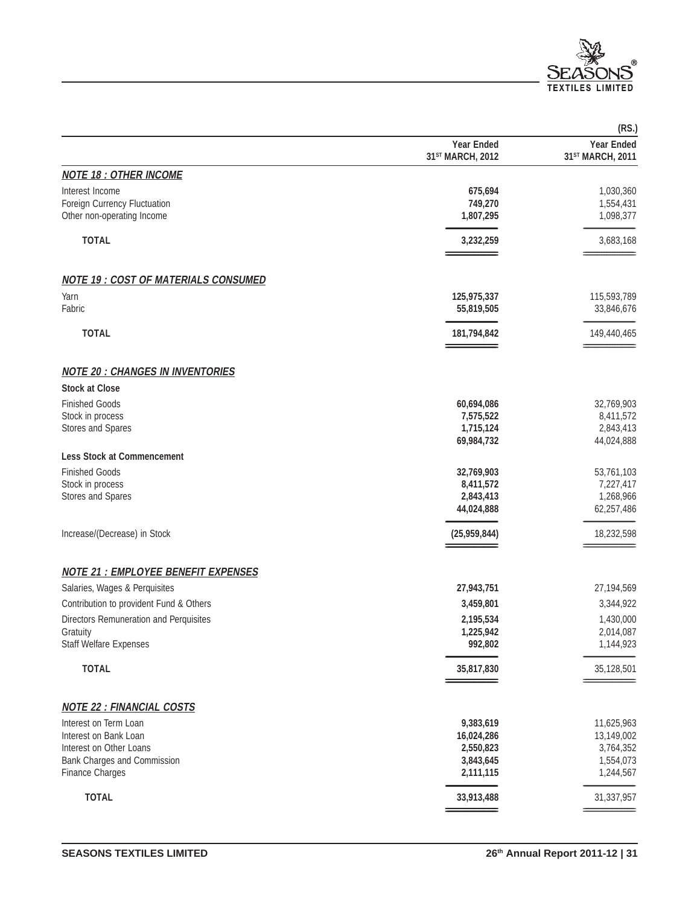

|                                            |                                       | (RS.)                                             |
|--------------------------------------------|---------------------------------------|---------------------------------------------------|
|                                            | <b>Year Ended</b><br>31ST MARCH, 2012 | <b>Year Ended</b><br>31 <sup>ST</sup> MARCH, 2011 |
| <b>NOTE 18 : OTHER INCOME</b>              |                                       |                                                   |
| Interest Income                            | 675,694                               | 1,030,360                                         |
| Foreign Currency Fluctuation               | 749,270                               | 1,554,431                                         |
| Other non-operating Income                 | 1,807,295                             | 1,098,377                                         |
| <b>TOTAL</b>                               | 3,232,259                             | 3,683,168                                         |
| <b>NOTE 19: COST OF MATERIALS CONSUMED</b> |                                       |                                                   |
| Yarn                                       | 125,975,337                           | 115,593,789                                       |
| Fabric                                     | 55,819,505                            | 33,846,676                                        |
| <b>TOTAL</b>                               | 181,794,842                           | 149,440,465                                       |
| <b>NOTE 20 : CHANGES IN INVENTORIES</b>    |                                       |                                                   |
| <b>Stock at Close</b>                      |                                       |                                                   |
| <b>Finished Goods</b>                      | 60,694,086                            | 32,769,903                                        |
| Stock in process                           | 7,575,522                             | 8,411,572                                         |
| Stores and Spares                          | 1,715,124                             | 2,843,413                                         |
|                                            | 69,984,732                            | 44,024,888                                        |
| <b>Less Stock at Commencement</b>          |                                       |                                                   |
| <b>Finished Goods</b>                      | 32,769,903                            | 53,761,103                                        |
| Stock in process                           | 8,411,572                             | 7,227,417                                         |
| Stores and Spares                          | 2,843,413<br>44,024,888               | 1,268,966<br>62,257,486                           |
|                                            |                                       |                                                   |
| Increase/(Decrease) in Stock               | (25,959,844)                          | 18,232,598                                        |
| <b>NOTE 21 : EMPLOYEE BENEFIT EXPENSES</b> |                                       |                                                   |
| Salaries, Wages & Perquisites              | 27,943,751                            | 27,194,569                                        |
| Contribution to provident Fund & Others    | 3,459,801                             | 3,344,922                                         |
| Directors Remuneration and Perquisites     | 2,195,534                             | 1,430,000                                         |
| Gratuity                                   | 1,225,942                             | 2,014,087                                         |
| <b>Staff Welfare Expenses</b>              | 992,802                               | 1,144,923                                         |
| <b>TOTAL</b>                               | 35,817,830                            | 35,128,501                                        |
| <b>NOTE 22 : FINANCIAL COSTS</b>           |                                       |                                                   |
| Interest on Term Loan                      | 9,383,619                             | 11,625,963                                        |
| Interest on Bank Loan                      | 16,024,286                            | 13,149,002                                        |
| Interest on Other Loans                    | 2,550,823                             | 3,764,352                                         |
| Bank Charges and Commission                | 3,843,645                             | 1,554,073                                         |
| <b>Finance Charges</b>                     | 2,111,115                             | 1,244,567                                         |
| <b>TOTAL</b>                               | 33,913,488                            | 31,337,957                                        |
|                                            |                                       |                                                   |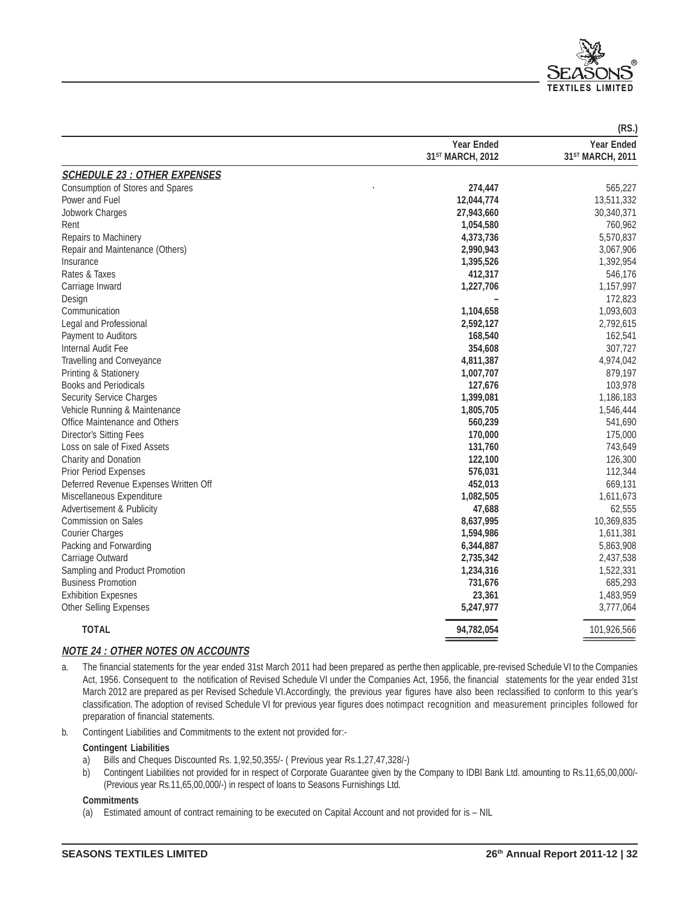

|                                       |                              | (RS.)                        |
|---------------------------------------|------------------------------|------------------------------|
|                                       | <b>Year Ended</b>            | <b>Year Ended</b>            |
|                                       | 31 <sup>ST</sup> MARCH, 2012 | 31 <sup>ST</sup> MARCH, 2011 |
| <b>SCHEDULE 23 : OTHER EXPENSES</b>   |                              |                              |
| Consumption of Stores and Spares      | 274,447                      | 565,227                      |
| Power and Fuel                        | 12,044,774                   | 13,511,332                   |
| Jobwork Charges                       | 27,943,660                   | 30,340,371                   |
| Rent                                  | 1,054,580                    | 760,962                      |
| Repairs to Machinery                  | 4,373,736                    | 5,570,837                    |
| Repair and Maintenance (Others)       | 2,990,943                    | 3,067,906                    |
| Insurance                             | 1,395,526                    | 1,392,954                    |
| Rates & Taxes                         | 412,317                      | 546,176                      |
| Carriage Inward                       | 1,227,706                    | 1,157,997                    |
| Design                                |                              | 172,823                      |
| Communication                         | 1,104,658                    | 1,093,603                    |
| Legal and Professional                | 2,592,127                    | 2,792,615                    |
| Payment to Auditors                   | 168,540                      | 162,541                      |
| Internal Audit Fee                    | 354,608                      | 307,727                      |
| Travelling and Conveyance             | 4,811,387                    | 4,974,042                    |
| Printing & Stationery                 | 1,007,707                    | 879,197                      |
| <b>Books and Periodicals</b>          | 127,676                      | 103,978                      |
| <b>Security Service Charges</b>       | 1,399,081                    | 1,186,183                    |
| Vehicle Running & Maintenance         | 1,805,705                    | 1,546,444                    |
| Office Maintenance and Others         | 560,239                      | 541,690                      |
| Director's Sitting Fees               | 170,000                      | 175,000                      |
| Loss on sale of Fixed Assets          | 131,760                      | 743,649                      |
| Charity and Donation                  | 122,100                      | 126,300                      |
| <b>Prior Period Expenses</b>          | 576,031                      | 112,344                      |
| Deferred Revenue Expenses Written Off | 452,013                      | 669,131                      |
| Miscellaneous Expenditure             | 1,082,505                    | 1,611,673                    |
| Advertisement & Publicity             | 47,688                       | 62,555                       |
| Commission on Sales                   | 8,637,995                    | 10,369,835                   |
| <b>Courier Charges</b>                | 1,594,986                    | 1,611,381                    |
| Packing and Forwarding                | 6,344,887                    | 5,863,908                    |
| Carriage Outward                      | 2,735,342                    | 2,437,538                    |
| Sampling and Product Promotion        | 1,234,316                    | 1,522,331                    |
| <b>Business Promotion</b>             | 731,676                      | 685,293                      |
| <b>Exhibition Expesnes</b>            | 23,361                       | 1,483,959                    |
| <b>Other Selling Expenses</b>         | 5,247,977                    | 3,777,064                    |
| <b>TOTAL</b>                          | 94,782,054                   | 101,926,566                  |
|                                       |                              |                              |

### **NOTE 24 : OTHER NOTES ON ACCOUNTS**

- a. The financial statements for the year ended 31st March 2011 had been prepared as perthe then applicable, pre-revised Schedule VI to the Companies Act, 1956. Consequent to the notification of Revised Schedule VI under the Companies Act, 1956, the financial statements for the year ended 31st March 2012 are prepared as per Revised Schedule VI.Accordingly, the previous year figures have also been reclassified to conform to this year's classification. The adoption of revised Schedule VI for previous year figures does notimpact recognition and measurement principles followed for preparation of financial statements.
- b. Contingent Liabilities and Commitments to the extent not provided for:-

#### **Contingent Liabilities**

- a) Bills and Cheques Discounted Rs. 1,92,50,355/- ( Previous year Rs.1,27,47,328/-)
- b) Contingent Liabilities not provided for in respect of Corporate Guarantee given by the Company to IDBI Bank Ltd. amounting to Rs.11,65,00,000/- (Previous year Rs.11,65,00,000/-) in respect of loans to Seasons Furnishings Ltd.

### **Commitments**

(a) Estimated amount of contract remaining to be executed on Capital Account and not provided for is – NIL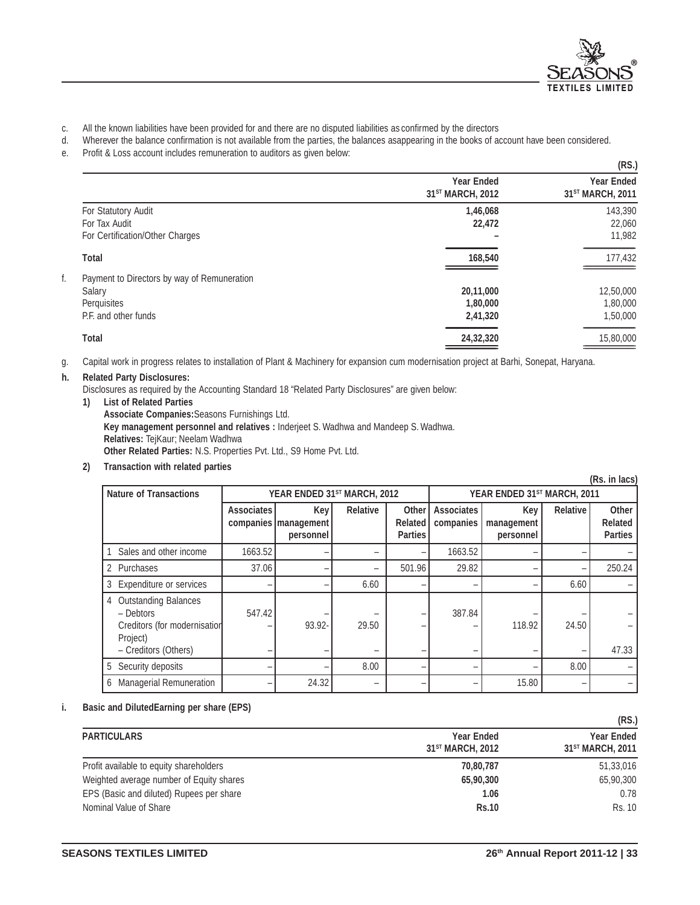

- c. All the known liabilities have been provided for and there are no disputed liabilities as confirmed by the directors
- d. Wherever the balance confirmation is not available from the parties, the balances asappearing in the books of account have been considered.
- e. Profit & Loss account includes remuneration to auditors as given below:

|                                             |                                                   | (RS.)                                             |
|---------------------------------------------|---------------------------------------------------|---------------------------------------------------|
|                                             | <b>Year Ended</b><br>31 <sup>ST</sup> MARCH, 2012 | <b>Year Ended</b><br>31 <sup>ST</sup> MARCH, 2011 |
| For Statutory Audit                         | 1,46,068                                          | 143,390                                           |
| For Tax Audit                               | 22,472                                            | 22,060                                            |
| For Certification/Other Charges             |                                                   | 11,982                                            |
| Total                                       | 168,540                                           | 177,432                                           |
| Payment to Directors by way of Remuneration |                                                   |                                                   |
| Salary                                      | 20,11,000                                         | 12,50,000                                         |
| Perquisites                                 | 1,80,000                                          | 1,80,000                                          |
| P.F. and other funds                        | 2,41,320                                          | 1,50,000                                          |
| <b>Total</b>                                | 24,32,320                                         | 15,80,000                                         |
|                                             |                                                   |                                                   |

g. Capital work in progress relates to installation of Plant & Machinery for expansion cum modernisation project at Barhi, Sonepat, Haryana.

#### **h. Related Party Disclosures:**

Disclosures as required by the Accounting Standard 18 "Related Party Disclosures" are given below:

**1) List of Related Parties Associate Companies:**Seasons Furnishings Ltd. **Key management personnel and relatives :** Inderjeet S. Wadhwa and Mandeep S. Wadhwa. **Relatives:** TejKaur; Neelam Wadhwa **Other Related Parties:** N.S. Properties Pvt. Ltd., S9 Home Pvt. Ltd.

#### **2) Transaction with related parties**

| (Rs. in lacs)                                                                   |                             |                                            |                 |                                           |                                |                                |                 |                                    |
|---------------------------------------------------------------------------------|-----------------------------|--------------------------------------------|-----------------|-------------------------------------------|--------------------------------|--------------------------------|-----------------|------------------------------------|
| <b>Nature of Transactions</b>                                                   | YEAR ENDED 31ST MARCH, 2012 |                                            |                 |                                           | YEAR ENDED 31ST MARCH, 2011    |                                |                 |                                    |
|                                                                                 | <b>Associates</b>           | Key<br>companies   management<br>personnel | <b>Relative</b> | Other<br><b>Related</b><br><b>Parties</b> | <b>Associates</b><br>companies | Key<br>management<br>personnel | <b>Relative</b> | Other<br>Related<br><b>Parties</b> |
| Sales and other income                                                          | 1663.52                     |                                            |                 |                                           | 1663.52                        |                                |                 |                                    |
| 2 Purchases                                                                     | 37.06                       |                                            | -               | 501.96                                    | 29.82                          |                                |                 | 250.24                             |
| 3 Expenditure or services                                                       |                             |                                            | 6.60            |                                           | -                              |                                | 6.60            |                                    |
| 4 Outstanding Balances<br>- Debtors<br>Creditors (for modernisation<br>Project) | 547.42                      | 93.92-                                     | 29.50           |                                           | 387.84                         | 118.92                         | 24.50           |                                    |
| - Creditors (Others)                                                            |                             |                                            | -               |                                           |                                | -                              |                 | 47.33                              |
| 5 Security deposits                                                             |                             |                                            | 8.00            |                                           |                                |                                | 8.00            |                                    |
| 6 Managerial Remuneration                                                       |                             | 24.32                                      |                 |                                           |                                | 15.80                          |                 |                                    |

#### **i. Basic and DilutedEarning per share (EPS)**

|                                          |                                                   | (KJ.)                                             |
|------------------------------------------|---------------------------------------------------|---------------------------------------------------|
| <b>PARTICULARS</b>                       | <b>Year Ended</b><br>31 <sup>ST</sup> MARCH, 2012 | <b>Year Ended</b><br>31 <sup>ST</sup> MARCH, 2011 |
| Profit available to equity shareholders  | 70,80,787                                         | 51,33,016                                         |
| Weighted average number of Equity shares | 65,90,300                                         | 65,90,300                                         |
| EPS (Basic and diluted) Rupees per share | 1.06                                              | 0.78                                              |
| Nominal Value of Share                   | <b>Rs.10</b>                                      | <b>Rs. 10</b>                                     |

**(RS.)**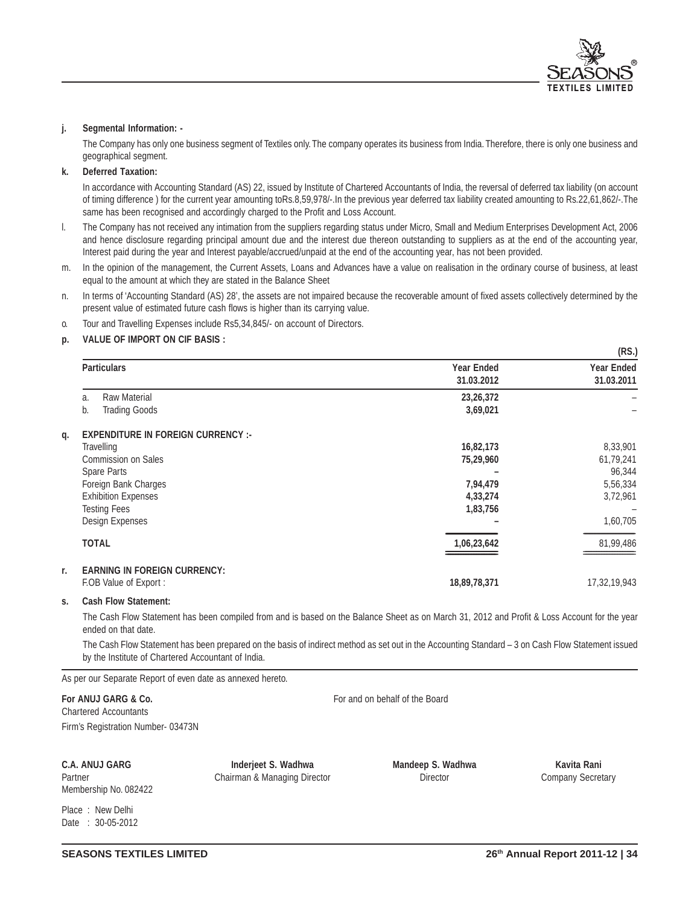

#### **j. Segmental Information: -**

The Company has only one business segment of Textiles only. The company operates its business from India. Therefore, there is only one business and geographical segment.

#### **k. Deferred Taxation:**

In accordance with Accounting Standard (AS) 22, issued by Institute of Chartered Accountants of India, the reversal of deferred tax liability (on account of timing difference ) for the current year amounting toRs.8,59,978/-.In the previous year deferred tax liability created amounting to Rs.22,61,862/-.The same has been recognised and accordingly charged to the Profit and Loss Account.

- l. The Company has not received any intimation from the suppliers regarding status under Micro, Small and Medium Enterprises Development Act, 2006 and hence disclosure regarding principal amount due and the interest due thereon outstanding to suppliers as at the end of the accounting year, Interest paid during the year and Interest payable/accrued/unpaid at the end of the accounting year, has not been provided.
- m. In the opinion of the management, the Current Assets, Loans and Advances have a value on realisation in the ordinary course of business, at least equal to the amount at which they are stated in the Balance Sheet
- n. In terms of 'Accounting Standard (AS) 28', the assets are not impaired because the recoverable amount of fixed assets collectively determined by the present value of estimated future cash flows is higher than its carrying value.
- o. Tour and Travelling Expenses include Rs5,34,845/- on account of Directors.

#### **p. VALUE OF IMPORT ON CIF BASIS :**

|                                                         |                                 | (RS.)                           |
|---------------------------------------------------------|---------------------------------|---------------------------------|
| <b>Particulars</b>                                      | <b>Year Ended</b><br>31.03.2012 | <b>Year Ended</b><br>31.03.2011 |
| <b>Raw Material</b><br>a.<br><b>Trading Goods</b><br>b. | 23,26,372<br>3,69,021           |                                 |
| <b>EXPENDITURE IN FOREIGN CURRENCY :-</b>               |                                 |                                 |
| Travelling                                              | 16,82,173                       | 8,33,901                        |
| <b>Commission on Sales</b>                              | 75,29,960                       | 61,79,241                       |
| Spare Parts                                             |                                 | 96,344                          |
| Foreign Bank Charges                                    | 7,94,479                        | 5,56,334                        |
| <b>Exhibition Expenses</b>                              | 4,33,274                        | 3,72,961                        |
| <b>Testing Fees</b>                                     | 1,83,756                        |                                 |
| Design Expenses                                         |                                 | 1,60,705                        |
| <b>TOTAL</b>                                            | 1,06,23,642                     | 81,99,486                       |
| <b>EARNING IN FOREIGN CURRENCY:</b>                     |                                 |                                 |
| F.OB Value of Export :                                  | 18,89,78,371                    | 17,32,19,943                    |
|                                                         |                                 |                                 |

#### **s. Cash Flow Statement:**

The Cash Flow Statement has been compiled from and is based on the Balance Sheet as on March 31, 2012 and Profit & Loss Account for the year ended on that date.

The Cash Flow Statement has been prepared on the basis of indirect method as set out in the Accounting Standard – 3 on Cash Flow Statement issued by the Institute of Chartered Accountant of India.

As per our Separate Report of even date as annexed hereto.

Chartered Accountants

**For ANUJ GARG & Co.** The state of the Board on behalf of the Board on behalf of the Board

Firm's Registration Number- 03473N

**C.A. ANUJ GARG Inderjeet S. Wadhwa Mandeep S. Wadhwa Kavita Rani** Partner **Chairman & Managing Director Chairman & Managing Director Director Company Secretary** 

Place : New Delhi Date : 30-05-2012

Membership No. 082422